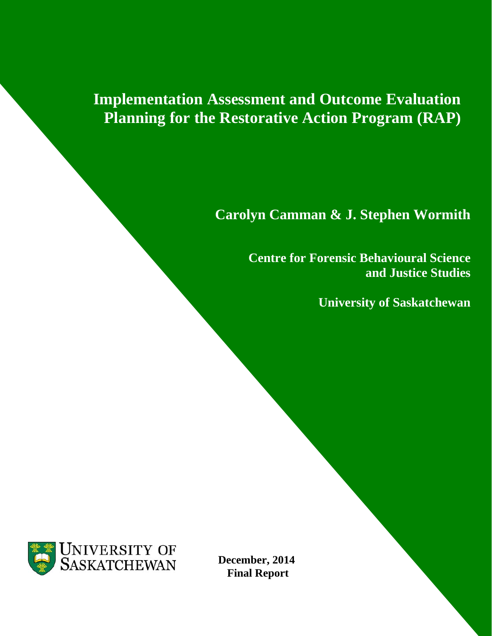# **Implementation Assessment and Outcome Evaluation Planning for the Restorative Action Program (RAP)**

# **Carolyn Camman & J. Stephen Wormith**

**Centre for Forensic Behavioural Science and Justice Studies**

**University of Saskatchewan**



**December, 2014 Final Report**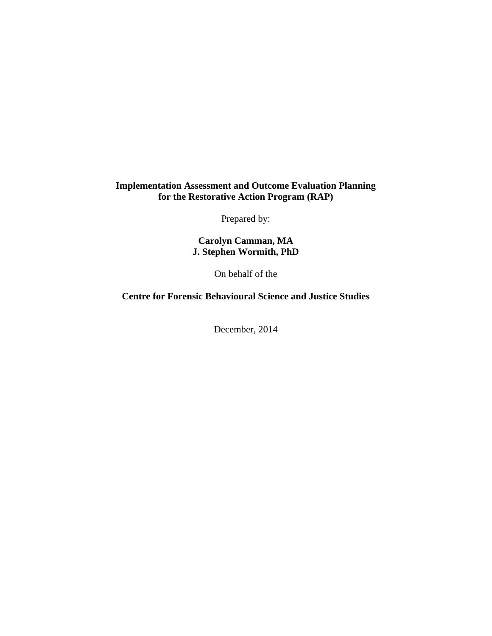## **Implementation Assessment and Outcome Evaluation Planning for the Restorative Action Program (RAP)**

Prepared by:

**Carolyn Camman, MA J. Stephen Wormith, PhD** 

On behalf of the

**Centre for Forensic Behavioural Science and Justice Studies** 

December, 2014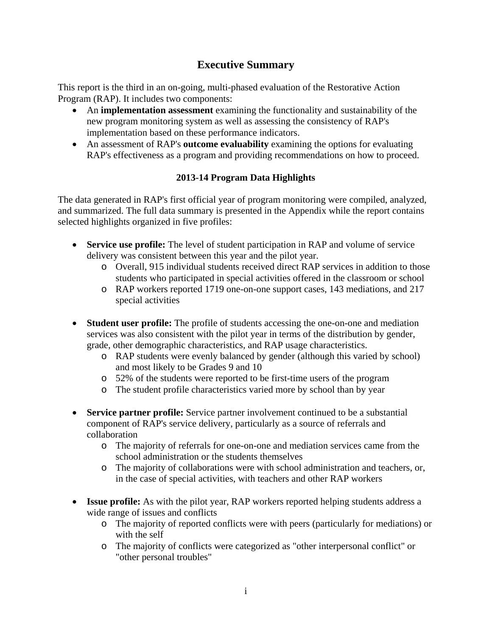# **Executive Summary**

This report is the third in an on-going, multi-phased evaluation of the Restorative Action Program (RAP). It includes two components:

- An **implementation assessment** examining the functionality and sustainability of the new program monitoring system as well as assessing the consistency of RAP's implementation based on these performance indicators.
- An assessment of RAP's **outcome evaluability** examining the options for evaluating RAP's effectiveness as a program and providing recommendations on how to proceed.

### **2013-14 Program Data Highlights**

The data generated in RAP's first official year of program monitoring were compiled, analyzed, and summarized. The full data summary is presented in the Appendix while the report contains selected highlights organized in five profiles:

- **Service use profile:** The level of student participation in RAP and volume of service delivery was consistent between this year and the pilot year.
	- o Overall, 915 individual students received direct RAP services in addition to those students who participated in special activities offered in the classroom or school
	- o RAP workers reported 1719 one-on-one support cases, 143 mediations, and 217 special activities
- **Student user profile:** The profile of students accessing the one-on-one and mediation services was also consistent with the pilot year in terms of the distribution by gender, grade, other demographic characteristics, and RAP usage characteristics.
	- o RAP students were evenly balanced by gender (although this varied by school) and most likely to be Grades 9 and 10
	- o 52% of the students were reported to be first-time users of the program
	- o The student profile characteristics varied more by school than by year
- **Service partner profile:** Service partner involvement continued to be a substantial component of RAP's service delivery, particularly as a source of referrals and collaboration
	- o The majority of referrals for one-on-one and mediation services came from the school administration or the students themselves
	- o The majority of collaborations were with school administration and teachers, or, in the case of special activities, with teachers and other RAP workers
- **Issue profile:** As with the pilot year, RAP workers reported helping students address a wide range of issues and conflicts
	- o The majority of reported conflicts were with peers (particularly for mediations) or with the self
	- o The majority of conflicts were categorized as "other interpersonal conflict" or "other personal troubles"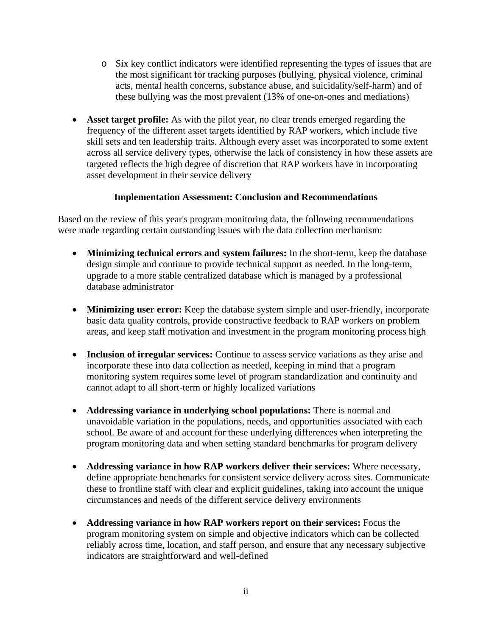- o Six key conflict indicators were identified representing the types of issues that are the most significant for tracking purposes (bullying, physical violence, criminal acts, mental health concerns, substance abuse, and suicidality/self-harm) and of these bullying was the most prevalent (13% of one-on-ones and mediations)
- **Asset target profile:** As with the pilot year, no clear trends emerged regarding the frequency of the different asset targets identified by RAP workers, which include five skill sets and ten leadership traits. Although every asset was incorporated to some extent across all service delivery types, otherwise the lack of consistency in how these assets are targeted reflects the high degree of discretion that RAP workers have in incorporating asset development in their service delivery

### **Implementation Assessment: Conclusion and Recommendations**

Based on the review of this year's program monitoring data, the following recommendations were made regarding certain outstanding issues with the data collection mechanism:

- **Minimizing technical errors and system failures:** In the short-term, keep the database design simple and continue to provide technical support as needed. In the long-term, upgrade to a more stable centralized database which is managed by a professional database administrator
- **Minimizing user error:** Keep the database system simple and user-friendly, incorporate basic data quality controls, provide constructive feedback to RAP workers on problem areas, and keep staff motivation and investment in the program monitoring process high
- **Inclusion of irregular services:** Continue to assess service variations as they arise and incorporate these into data collection as needed, keeping in mind that a program monitoring system requires some level of program standardization and continuity and cannot adapt to all short-term or highly localized variations
- **Addressing variance in underlying school populations:** There is normal and unavoidable variation in the populations, needs, and opportunities associated with each school. Be aware of and account for these underlying differences when interpreting the program monitoring data and when setting standard benchmarks for program delivery
- **Addressing variance in how RAP workers deliver their services:** Where necessary, define appropriate benchmarks for consistent service delivery across sites. Communicate these to frontline staff with clear and explicit guidelines, taking into account the unique circumstances and needs of the different service delivery environments
- **Addressing variance in how RAP workers report on their services:** Focus the program monitoring system on simple and objective indicators which can be collected reliably across time, location, and staff person, and ensure that any necessary subjective indicators are straightforward and well-defined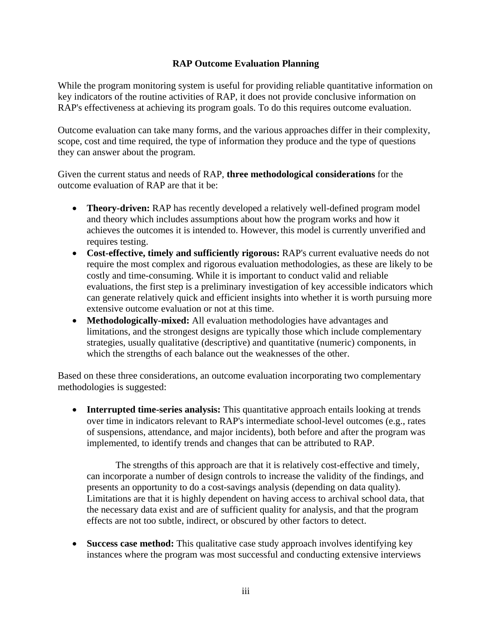### **RAP Outcome Evaluation Planning**

While the program monitoring system is useful for providing reliable quantitative information on key indicators of the routine activities of RAP, it does not provide conclusive information on RAP's effectiveness at achieving its program goals. To do this requires outcome evaluation.

Outcome evaluation can take many forms, and the various approaches differ in their complexity, scope, cost and time required, the type of information they produce and the type of questions they can answer about the program.

Given the current status and needs of RAP, **three methodological considerations** for the outcome evaluation of RAP are that it be:

- **Theory-driven:** RAP has recently developed a relatively well-defined program model and theory which includes assumptions about how the program works and how it achieves the outcomes it is intended to. However, this model is currently unverified and requires testing.
- **Cost-effective, timely and sufficiently rigorous:** RAP's current evaluative needs do not require the most complex and rigorous evaluation methodologies, as these are likely to be costly and time-consuming. While it is important to conduct valid and reliable evaluations, the first step is a preliminary investigation of key accessible indicators which can generate relatively quick and efficient insights into whether it is worth pursuing more extensive outcome evaluation or not at this time.
- **Methodologically-mixed:** All evaluation methodologies have advantages and limitations, and the strongest designs are typically those which include complementary strategies, usually qualitative (descriptive) and quantitative (numeric) components, in which the strengths of each balance out the weaknesses of the other.

Based on these three considerations, an outcome evaluation incorporating two complementary methodologies is suggested:

 **Interrupted time-series analysis:** This quantitative approach entails looking at trends over time in indicators relevant to RAP's intermediate school-level outcomes (e.g., rates of suspensions, attendance, and major incidents), both before and after the program was implemented, to identify trends and changes that can be attributed to RAP.

The strengths of this approach are that it is relatively cost-effective and timely, can incorporate a number of design controls to increase the validity of the findings, and presents an opportunity to do a cost-savings analysis (depending on data quality). Limitations are that it is highly dependent on having access to archival school data, that the necessary data exist and are of sufficient quality for analysis, and that the program effects are not too subtle, indirect, or obscured by other factors to detect.

 **Success case method:** This qualitative case study approach involves identifying key instances where the program was most successful and conducting extensive interviews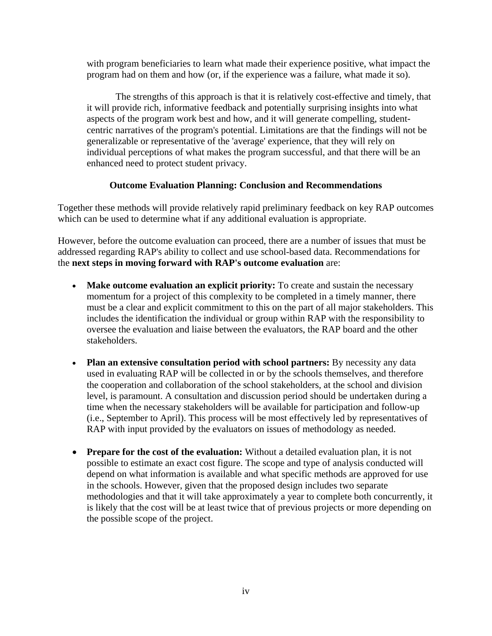with program beneficiaries to learn what made their experience positive, what impact the program had on them and how (or, if the experience was a failure, what made it so).

The strengths of this approach is that it is relatively cost-effective and timely, that it will provide rich, informative feedback and potentially surprising insights into what aspects of the program work best and how, and it will generate compelling, studentcentric narratives of the program's potential. Limitations are that the findings will not be generalizable or representative of the 'average' experience, that they will rely on individual perceptions of what makes the program successful, and that there will be an enhanced need to protect student privacy.

### **Outcome Evaluation Planning: Conclusion and Recommendations**

Together these methods will provide relatively rapid preliminary feedback on key RAP outcomes which can be used to determine what if any additional evaluation is appropriate.

However, before the outcome evaluation can proceed, there are a number of issues that must be addressed regarding RAP's ability to collect and use school-based data. Recommendations for the **next steps in moving forward with RAP's outcome evaluation** are:

- **Make outcome evaluation an explicit priority:** To create and sustain the necessary momentum for a project of this complexity to be completed in a timely manner, there must be a clear and explicit commitment to this on the part of all major stakeholders. This includes the identification the individual or group within RAP with the responsibility to oversee the evaluation and liaise between the evaluators, the RAP board and the other stakeholders.
- **Plan an extensive consultation period with school partners:** By necessity any data used in evaluating RAP will be collected in or by the schools themselves, and therefore the cooperation and collaboration of the school stakeholders, at the school and division level, is paramount. A consultation and discussion period should be undertaken during a time when the necessary stakeholders will be available for participation and follow-up (i.e., September to April). This process will be most effectively led by representatives of RAP with input provided by the evaluators on issues of methodology as needed.
- **Prepare for the cost of the evaluation:** Without a detailed evaluation plan, it is not possible to estimate an exact cost figure. The scope and type of analysis conducted will depend on what information is available and what specific methods are approved for use in the schools. However, given that the proposed design includes two separate methodologies and that it will take approximately a year to complete both concurrently, it is likely that the cost will be at least twice that of previous projects or more depending on the possible scope of the project.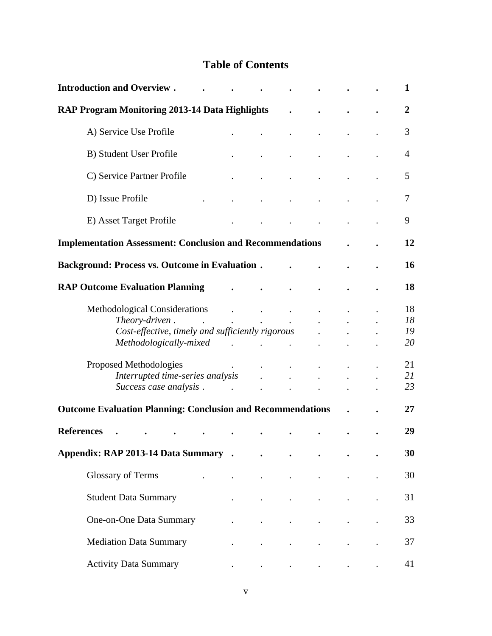# **Table of Contents**

| <b>Introduction and Overview.</b>                                  |                              |                                                                            |                               |                           |  |  | 1              |
|--------------------------------------------------------------------|------------------------------|----------------------------------------------------------------------------|-------------------------------|---------------------------|--|--|----------------|
| RAP Program Monitoring 2013-14 Data Highlights                     |                              |                                                                            |                               |                           |  |  | $\overline{2}$ |
|                                                                    | A) Service Use Profile       |                                                                            |                               |                           |  |  | 3              |
|                                                                    | B) Student User Profile      |                                                                            |                               |                           |  |  | 4              |
|                                                                    | C) Service Partner Profile   |                                                                            |                               |                           |  |  | 5              |
|                                                                    | D) Issue Profile             |                                                                            |                               |                           |  |  | 7              |
|                                                                    | E) Asset Target Profile      |                                                                            |                               |                           |  |  | 9              |
| <b>Implementation Assessment: Conclusion and Recommendations</b>   |                              |                                                                            |                               |                           |  |  | 12             |
| <b>Background: Process vs. Outcome in Evaluation.</b>              |                              |                                                                            |                               |                           |  |  | 16             |
| <b>RAP Outcome Evaluation Planning</b>                             |                              |                                                                            |                               |                           |  |  | 18             |
|                                                                    | Theory-driven.               | <b>Methodological Considerations</b>                                       |                               |                           |  |  | 18<br>18       |
|                                                                    |                              | Cost-effective, timely and sufficiently rigorous<br>Methodologically-mixed | $\mathbf{r}$ and $\mathbf{r}$ | $\mathbf{L}^{\text{max}}$ |  |  | 19<br>20       |
|                                                                    | Proposed Methodologies       | Interrupted time-series analysis<br>Success case analysis.                 | $\overline{a}$                |                           |  |  | 21<br>21<br>23 |
| <b>Outcome Evaluation Planning: Conclusion and Recommendations</b> |                              |                                                                            |                               |                           |  |  | 27             |
| <b>References</b>                                                  |                              |                                                                            |                               |                           |  |  | 29             |
| Appendix: RAP 2013-14 Data Summary.                                |                              |                                                                            |                               |                           |  |  | 30             |
|                                                                    | <b>Glossary of Terms</b>     |                                                                            |                               |                           |  |  | 30             |
|                                                                    | <b>Student Data Summary</b>  |                                                                            |                               |                           |  |  | 31             |
|                                                                    |                              | One-on-One Data Summary                                                    |                               |                           |  |  | 33             |
|                                                                    |                              | <b>Mediation Data Summary</b>                                              |                               |                           |  |  | 37             |
|                                                                    | <b>Activity Data Summary</b> |                                                                            |                               |                           |  |  | 41             |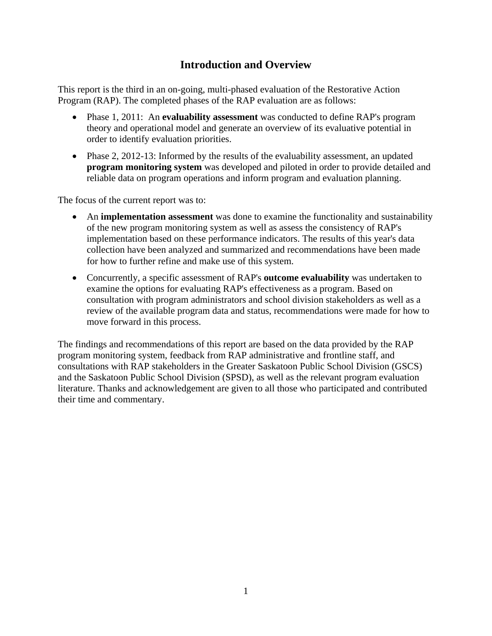# **Introduction and Overview**

This report is the third in an on-going, multi-phased evaluation of the Restorative Action Program (RAP). The completed phases of the RAP evaluation are as follows:

- Phase 1, 2011: An **evaluability assessment** was conducted to define RAP's program theory and operational model and generate an overview of its evaluative potential in order to identify evaluation priorities.
- Phase 2, 2012-13: Informed by the results of the evaluability assessment, an updated **program monitoring system** was developed and piloted in order to provide detailed and reliable data on program operations and inform program and evaluation planning.

The focus of the current report was to:

- An **implementation assessment** was done to examine the functionality and sustainability of the new program monitoring system as well as assess the consistency of RAP's implementation based on these performance indicators. The results of this year's data collection have been analyzed and summarized and recommendations have been made for how to further refine and make use of this system.
- Concurrently, a specific assessment of RAP's **outcome evaluability** was undertaken to examine the options for evaluating RAP's effectiveness as a program. Based on consultation with program administrators and school division stakeholders as well as a review of the available program data and status, recommendations were made for how to move forward in this process.

The findings and recommendations of this report are based on the data provided by the RAP program monitoring system, feedback from RAP administrative and frontline staff, and consultations with RAP stakeholders in the Greater Saskatoon Public School Division (GSCS) and the Saskatoon Public School Division (SPSD), as well as the relevant program evaluation literature. Thanks and acknowledgement are given to all those who participated and contributed their time and commentary.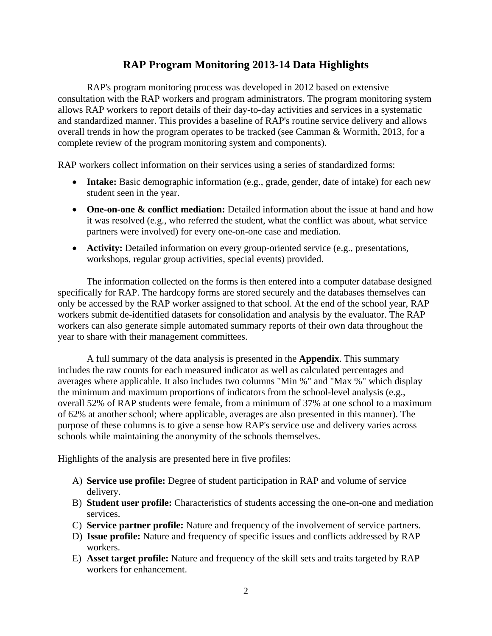## **RAP Program Monitoring 2013-14 Data Highlights**

RAP's program monitoring process was developed in 2012 based on extensive consultation with the RAP workers and program administrators. The program monitoring system allows RAP workers to report details of their day-to-day activities and services in a systematic and standardized manner. This provides a baseline of RAP's routine service delivery and allows overall trends in how the program operates to be tracked (see Camman & Wormith, 2013, for a complete review of the program monitoring system and components).

RAP workers collect information on their services using a series of standardized forms:

- **Intake:** Basic demographic information (e.g., grade, gender, date of intake) for each new student seen in the year.
- **One-on-one & conflict mediation:** Detailed information about the issue at hand and how it was resolved (e.g., who referred the student, what the conflict was about, what service partners were involved) for every one-on-one case and mediation.
- **Activity:** Detailed information on every group-oriented service (e.g., presentations, workshops, regular group activities, special events) provided.

The information collected on the forms is then entered into a computer database designed specifically for RAP. The hardcopy forms are stored securely and the databases themselves can only be accessed by the RAP worker assigned to that school. At the end of the school year, RAP workers submit de-identified datasets for consolidation and analysis by the evaluator. The RAP workers can also generate simple automated summary reports of their own data throughout the year to share with their management committees.

A full summary of the data analysis is presented in the **Appendix**. This summary includes the raw counts for each measured indicator as well as calculated percentages and averages where applicable. It also includes two columns "Min %" and "Max %" which display the minimum and maximum proportions of indicators from the school-level analysis (e.g., overall 52% of RAP students were female, from a minimum of 37% at one school to a maximum of 62% at another school; where applicable, averages are also presented in this manner). The purpose of these columns is to give a sense how RAP's service use and delivery varies across schools while maintaining the anonymity of the schools themselves.

Highlights of the analysis are presented here in five profiles:

- A) **Service use profile:** Degree of student participation in RAP and volume of service delivery.
- B) **Student user profile:** Characteristics of students accessing the one-on-one and mediation services.
- C) **Service partner profile:** Nature and frequency of the involvement of service partners.
- D) **Issue profile:** Nature and frequency of specific issues and conflicts addressed by RAP workers.
- E) **Asset target profile:** Nature and frequency of the skill sets and traits targeted by RAP workers for enhancement.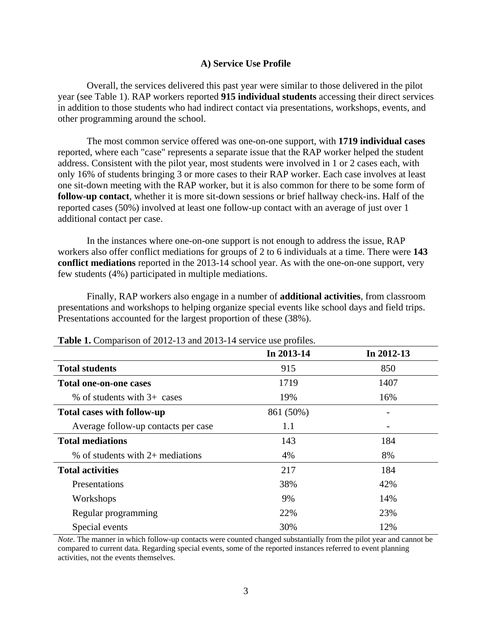#### **A) Service Use Profile**

Overall, the services delivered this past year were similar to those delivered in the pilot year (see Table 1). RAP workers reported **915 individual students** accessing their direct services in addition to those students who had indirect contact via presentations, workshops, events, and other programming around the school.

The most common service offered was one-on-one support, with **1719 individual cases** reported, where each "case" represents a separate issue that the RAP worker helped the student address. Consistent with the pilot year, most students were involved in 1 or 2 cases each, with only 16% of students bringing 3 or more cases to their RAP worker. Each case involves at least one sit-down meeting with the RAP worker, but it is also common for there to be some form of **follow-up contact**, whether it is more sit-down sessions or brief hallway check-ins. Half of the reported cases (50%) involved at least one follow-up contact with an average of just over 1 additional contact per case.

In the instances where one-on-one support is not enough to address the issue, RAP workers also offer conflict mediations for groups of 2 to 6 individuals at a time. There were **143 conflict mediations** reported in the 2013-14 school year. As with the one-on-one support, very few students (4%) participated in multiple mediations.

Finally, RAP workers also engage in a number of **additional activities**, from classroom presentations and workshops to helping organize special events like school days and field trips. Presentations accounted for the largest proportion of these (38%).

|                                     | In 2013-14 | In 2012-13 |
|-------------------------------------|------------|------------|
| <b>Total students</b>               | 915        | 850        |
| <b>Total one-on-one cases</b>       | 1719       | 1407       |
| % of students with $3+$ cases       | 19%        | 16%        |
| <b>Total cases with follow-up</b>   | 861 (50%)  |            |
| Average follow-up contacts per case | 1.1        |            |
| <b>Total mediations</b>             | 143        | 184        |
| % of students with $2+$ mediations  | 4%         | 8%         |
| <b>Total activities</b>             | 217        | 184        |
| Presentations                       | 38%        | 42%        |
| Workshops                           | 9%         | 14%        |
| Regular programming                 | 22%        | 23%        |
| Special events                      | 30%        | 12%        |

**Table 1.** Comparison of 2012-13 and 2013-14 service use profiles.

*Note*. The manner in which follow-up contacts were counted changed substantially from the pilot year and cannot be compared to current data. Regarding special events, some of the reported instances referred to event planning activities, not the events themselves.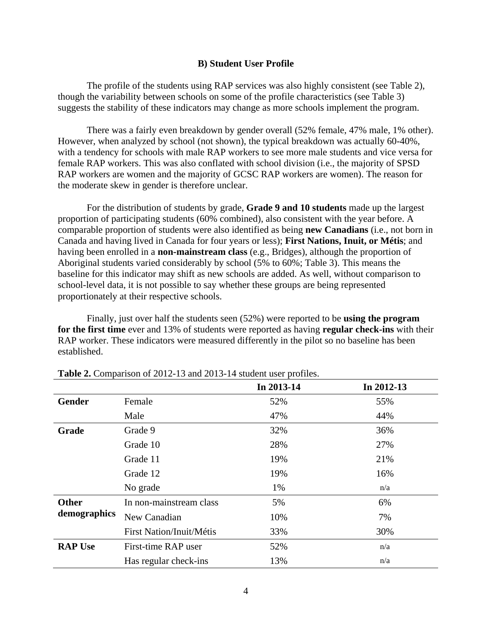#### **B) Student User Profile**

The profile of the students using RAP services was also highly consistent (see Table 2), though the variability between schools on some of the profile characteristics (see Table 3) suggests the stability of these indicators may change as more schools implement the program.

There was a fairly even breakdown by gender overall (52% female, 47% male, 1% other). However, when analyzed by school (not shown), the typical breakdown was actually 60-40%, with a tendency for schools with male RAP workers to see more male students and vice versa for female RAP workers. This was also conflated with school division (i.e., the majority of SPSD RAP workers are women and the majority of GCSC RAP workers are women). The reason for the moderate skew in gender is therefore unclear.

For the distribution of students by grade, **Grade 9 and 10 students** made up the largest proportion of participating students (60% combined), also consistent with the year before. A comparable proportion of students were also identified as being **new Canadians** (i.e., not born in Canada and having lived in Canada for four years or less); **First Nations, Inuit, or Métis**; and having been enrolled in a **non-mainstream class** (e.g., Bridges), although the proportion of Aboriginal students varied considerably by school (5% to 60%; Table 3). This means the baseline for this indicator may shift as new schools are added. As well, without comparison to school-level data, it is not possible to say whether these groups are being represented proportionately at their respective schools.

Finally, just over half the students seen (52%) were reported to be **using the program for the first time** ever and 13% of students were reported as having **regular check-ins** with their RAP worker. These indicators were measured differently in the pilot so no baseline has been established.

|                |                          | In 2013-14 | In 2012-13 |
|----------------|--------------------------|------------|------------|
| <b>Gender</b>  | Female                   | 52%        | 55%        |
|                | Male                     | 47%        | 44%        |
| Grade          | Grade 9                  | 32%        | 36%        |
|                | Grade 10                 | 28%        | 27%        |
|                | Grade 11                 | 19%        | 21%        |
|                | Grade 12                 | 19%        | 16%        |
|                | No grade                 | 1%         | n/a        |
| <b>Other</b>   | In non-mainstream class  | 5%         | 6%         |
| demographics   | New Canadian             | 10%        | 7%         |
|                | First Nation/Inuit/Métis | 33%        | 30%        |
| <b>RAP Use</b> | First-time RAP user      | 52%        | n/a        |
|                | Has regular check-ins    | 13%        | n/a        |

| <b>Table 2.</b> Comparison of 2012-13 and 2013-14 student user profiles. |  |  |
|--------------------------------------------------------------------------|--|--|
|--------------------------------------------------------------------------|--|--|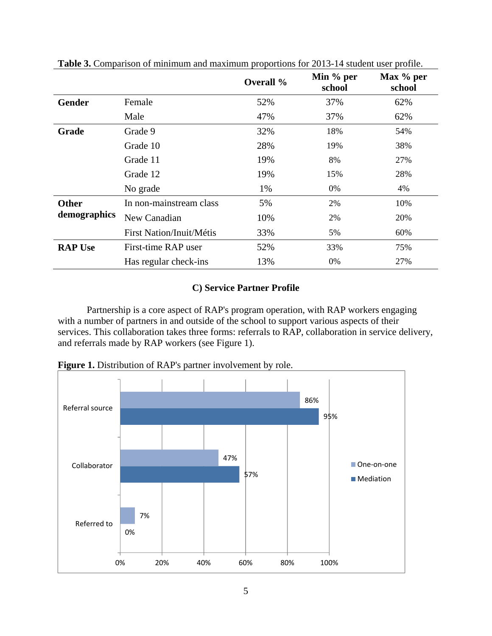|                |                          | Overall % | Min $%$ per<br>school | Max % per<br>school |
|----------------|--------------------------|-----------|-----------------------|---------------------|
| <b>Gender</b>  | Female                   | 52%       | 37%                   | 62%                 |
|                | Male                     | 47%       | 37%                   | 62%                 |
| Grade          | Grade 9                  | 32%       | 18%                   | 54%                 |
|                | Grade 10                 | 28%       | 19%                   | 38%                 |
|                | Grade 11                 | 19%       | 8%                    | 27%                 |
|                | Grade 12                 | 19%       | 15%                   | 28%                 |
|                | No grade                 | 1%        | 0%                    | 4%                  |
| <b>Other</b>   | In non-mainstream class  | 5%        | 2%                    | 10%                 |
| demographics   | New Canadian             | 10%       | 2%                    | 20%                 |
|                | First Nation/Inuit/Métis | 33%       | 5%                    | 60%                 |
| <b>RAP Use</b> | First-time RAP user      | 52%       | 33%                   | 75%                 |
|                | Has regular check-ins    | 13%       | 0%                    | 27%                 |

**Table 3.** Comparison of minimum and maximum proportions for 2013-14 student user profile.

## **C) Service Partner Profile**

Partnership is a core aspect of RAP's program operation, with RAP workers engaging with a number of partners in and outside of the school to support various aspects of their services. This collaboration takes three forms: referrals to RAP, collaboration in service delivery, and referrals made by RAP workers (see Figure 1).



**Figure 1.** Distribution of RAP's partner involvement by role.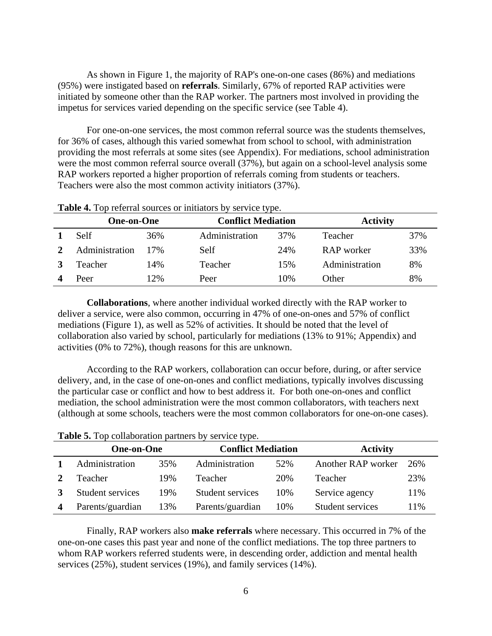As shown in Figure 1, the majority of RAP's one-on-one cases (86%) and mediations (95%) were instigated based on **referrals**. Similarly, 67% of reported RAP activities were initiated by someone other than the RAP worker. The partners most involved in providing the impetus for services varied depending on the specific service (see Table 4).

For one-on-one services, the most common referral source was the students themselves, for 36% of cases, although this varied somewhat from school to school, with administration providing the most referrals at some sites (see Appendix). For mediations, school administration were the most common referral source overall (37%), but again on a school-level analysis some RAP workers reported a higher proportion of referrals coming from students or teachers. Teachers were also the most common activity initiators (37%).

| One-on-One     |     | <b>Conflict Mediation</b> |     | <b>Activity</b> |     |
|----------------|-----|---------------------------|-----|-----------------|-----|
| Self           | 36% | Administration            | 37% | Teacher         | 37% |
| Administration | 17% | Self                      | 24% | RAP worker      | 33% |
| Teacher        | 14% | Teacher                   | 15% | Administration  | 8%  |
| Peer           | 12% | Peer                      | 10% | Other           | 8%  |

**Table 4.** Top referral sources or initiators by service type.

**Collaborations**, where another individual worked directly with the RAP worker to deliver a service, were also common, occurring in 47% of one-on-ones and 57% of conflict mediations (Figure 1), as well as 52% of activities. It should be noted that the level of collaboration also varied by school, particularly for mediations (13% to 91%; Appendix) and activities (0% to 72%), though reasons for this are unknown.

According to the RAP workers, collaboration can occur before, during, or after service delivery, and, in the case of one-on-ones and conflict mediations, typically involves discussing the particular case or conflict and how to best address it. For both one-on-ones and conflict mediation, the school administration were the most common collaborators, with teachers next (although at some schools, teachers were the most common collaborators for one-on-one cases).

| <b>One-on-One</b> |     | <b>Conflict Mediation</b> |     | <b>Activity</b>    |     |
|-------------------|-----|---------------------------|-----|--------------------|-----|
| Administration    | 35% | Administration            | 52% | Another RAP worker | 26% |
| Teacher           | 19% | Teacher                   | 20% | Teacher            | 23% |
| Student services  | 19% | Student services          | 10% | Service agency     | 11% |
| Parents/guardian  | 13% | Parents/guardian          | 10% | Student services   | 11% |

**Table 5.** Top collaboration partners by service type.

Finally, RAP workers also **make referrals** where necessary. This occurred in 7% of the one-on-one cases this past year and none of the conflict mediations. The top three partners to whom RAP workers referred students were, in descending order, addiction and mental health services (25%), student services (19%), and family services (14%).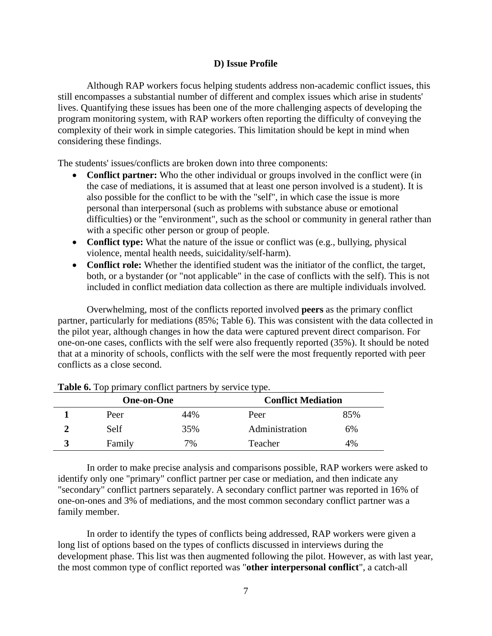#### **D) Issue Profile**

Although RAP workers focus helping students address non-academic conflict issues, this still encompasses a substantial number of different and complex issues which arise in students' lives. Quantifying these issues has been one of the more challenging aspects of developing the program monitoring system, with RAP workers often reporting the difficulty of conveying the complexity of their work in simple categories. This limitation should be kept in mind when considering these findings.

The students' issues/conflicts are broken down into three components:

- **Conflict partner:** Who the other individual or groups involved in the conflict were (in the case of mediations, it is assumed that at least one person involved is a student). It is also possible for the conflict to be with the "self", in which case the issue is more personal than interpersonal (such as problems with substance abuse or emotional difficulties) or the "environment", such as the school or community in general rather than with a specific other person or group of people.
- **Conflict type:** What the nature of the issue or conflict was (e.g., bullying, physical violence, mental health needs, suicidality/self-harm).
- **Conflict role:** Whether the identified student was the initiator of the conflict, the target, both, or a bystander (or "not applicable" in the case of conflicts with the self). This is not included in conflict mediation data collection as there are multiple individuals involved.

Overwhelming, most of the conflicts reported involved **peers** as the primary conflict partner, particularly for mediations (85%; Table 6). This was consistent with the data collected in the pilot year, although changes in how the data were captured prevent direct comparison. For one-on-one cases, conflicts with the self were also frequently reported (35%). It should be noted that at a minority of schools, conflicts with the self were the most frequently reported with peer conflicts as a close second.

| <b>One-on-One</b> |     | <b>Conflict Mediation</b> |     |
|-------------------|-----|---------------------------|-----|
| Peer              | 44% | Peer                      | 85% |
| Self              | 35% | Administration            | 6%  |
| Family            | 7%  | Teacher                   | 4%  |

#### **Table 6.** Top primary conflict partners by service type.

In order to make precise analysis and comparisons possible, RAP workers were asked to identify only one "primary" conflict partner per case or mediation, and then indicate any "secondary" conflict partners separately. A secondary conflict partner was reported in 16% of one-on-ones and 3% of mediations, and the most common secondary conflict partner was a family member.

In order to identify the types of conflicts being addressed, RAP workers were given a long list of options based on the types of conflicts discussed in interviews during the development phase. This list was then augmented following the pilot. However, as with last year, the most common type of conflict reported was "**other interpersonal conflict**", a catch-all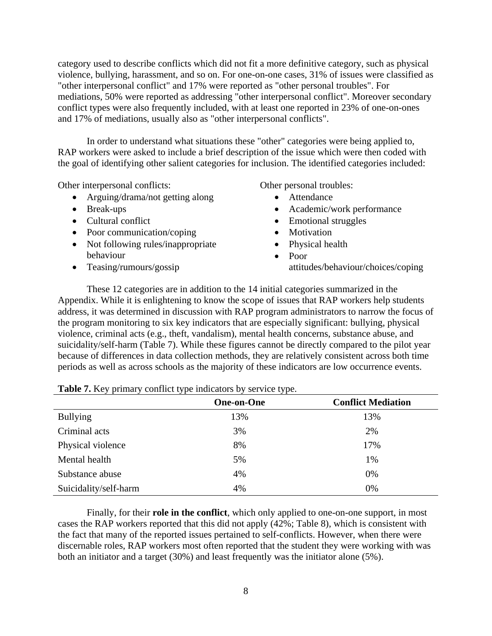category used to describe conflicts which did not fit a more definitive category, such as physical violence, bullying, harassment, and so on. For one-on-one cases, 31% of issues were classified as "other interpersonal conflict" and 17% were reported as "other personal troubles". For mediations, 50% were reported as addressing "other interpersonal conflict". Moreover secondary conflict types were also frequently included, with at least one reported in 23% of one-on-ones and 17% of mediations, usually also as "other interpersonal conflicts".

In order to understand what situations these "other" categories were being applied to, RAP workers were asked to include a brief description of the issue which were then coded with the goal of identifying other salient categories for inclusion. The identified categories included:

Other interpersonal conflicts:

- Arguing/drama/not getting along
- Break-ups
- Cultural conflict
- Poor communication/coping
- Not following rules/inappropriate behaviour
- Teasing/rumours/gossip

Other personal troubles:

- Attendance
- Academic/work performance
- Emotional struggles
- Motivation
- Physical health
	- Poor

attitudes/behaviour/choices/coping

These 12 categories are in addition to the 14 initial categories summarized in the Appendix. While it is enlightening to know the scope of issues that RAP workers help students address, it was determined in discussion with RAP program administrators to narrow the focus of the program monitoring to six key indicators that are especially significant: bullying, physical violence, criminal acts (e.g., theft, vandalism), mental health concerns, substance abuse, and suicidality/self-harm (Table 7). While these figures cannot be directly compared to the pilot year because of differences in data collection methods, they are relatively consistent across both time periods as well as across schools as the majority of these indicators are low occurrence events.

|                       | <b>One-on-One</b> | <b>Conflict Mediation</b> |
|-----------------------|-------------------|---------------------------|
| <b>Bullying</b>       | 13%               | 13%                       |
| Criminal acts         | 3%                | 2%                        |
| Physical violence     | 8%                | 17%                       |
| Mental health         | 5%                | 1%                        |
| Substance abuse       | 4%                | 0%                        |
| Suicidality/self-harm | 4%                | 0%                        |

**Table 7.** Key primary conflict type indicators by service type.

Finally, for their **role in the conflict**, which only applied to one-on-one support, in most cases the RAP workers reported that this did not apply (42%; Table 8), which is consistent with the fact that many of the reported issues pertained to self-conflicts. However, when there were discernable roles, RAP workers most often reported that the student they were working with was both an initiator and a target (30%) and least frequently was the initiator alone (5%).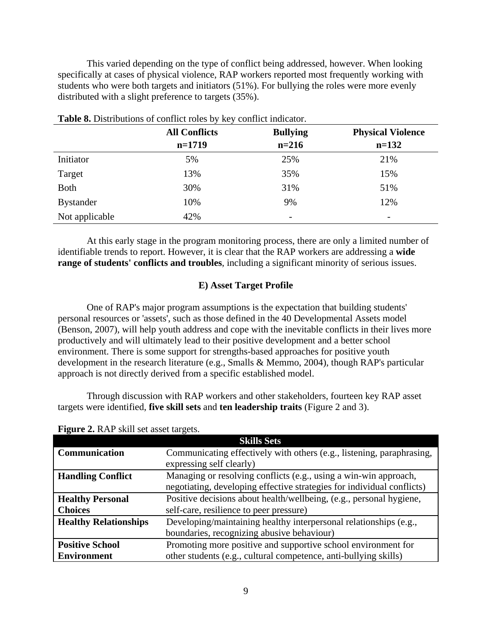This varied depending on the type of conflict being addressed, however. When looking specifically at cases of physical violence, RAP workers reported most frequently working with students who were both targets and initiators (51%). For bullying the roles were more evenly distributed with a slight preference to targets (35%).

|                  | <b>Table of Distributions of commet follo</b> by Rey commet indicator.<br><b>All Conflicts</b> | <b>Bullying</b>          | <b>Physical Violence</b> |
|------------------|------------------------------------------------------------------------------------------------|--------------------------|--------------------------|
|                  | $n=1719$                                                                                       | $n = 216$                | $n=132$                  |
| Initiator        | 5%                                                                                             | 25%                      | 21%                      |
| Target           | 13%                                                                                            | 35%                      | 15%                      |
| <b>Both</b>      | 30%                                                                                            | 31%                      | 51%                      |
| <b>Bystander</b> | 10%                                                                                            | 9%                       | 12%                      |
| Not applicable   | 42%                                                                                            | $\overline{\phantom{0}}$ | $\overline{\phantom{a}}$ |

**Table 8.** Distributions of conflict roles by key conflict indicator.

At this early stage in the program monitoring process, there are only a limited number of identifiable trends to report. However, it is clear that the RAP workers are addressing a **wide range of students' conflicts and troubles**, including a significant minority of serious issues.

#### **E) Asset Target Profile**

One of RAP's major program assumptions is the expectation that building students' personal resources or 'assets', such as those defined in the 40 Developmental Assets model (Benson, 2007), will help youth address and cope with the inevitable conflicts in their lives more productively and will ultimately lead to their positive development and a better school environment. There is some support for strengths-based approaches for positive youth development in the research literature (e.g., Smalls & Memmo, 2004), though RAP's particular approach is not directly derived from a specific established model.

Through discussion with RAP workers and other stakeholders, fourteen key RAP asset targets were identified, **five skill sets** and **ten leadership traits** (Figure 2 and 3).

|                              | <b>Skills Sets</b>                                                     |
|------------------------------|------------------------------------------------------------------------|
| Communication                | Communicating effectively with others (e.g., listening, paraphrasing,  |
|                              | expressing self clearly)                                               |
| <b>Handling Conflict</b>     | Managing or resolving conflicts (e.g., using a win-win approach,       |
|                              | negotiating, developing effective strategies for individual conflicts) |
| <b>Healthy Personal</b>      | Positive decisions about health/wellbeing, (e.g., personal hygiene,    |
| <b>Choices</b>               | self-care, resilience to peer pressure)                                |
| <b>Healthy Relationships</b> | Developing/maintaining healthy interpersonal relationships (e.g.,      |
|                              | boundaries, recognizing abusive behaviour)                             |
| <b>Positive School</b>       | Promoting more positive and supportive school environment for          |
| <b>Environment</b>           | other students (e.g., cultural competence, anti-bullying skills)       |

| Figure 2. RAP skill set asset targets. |  |
|----------------------------------------|--|
|----------------------------------------|--|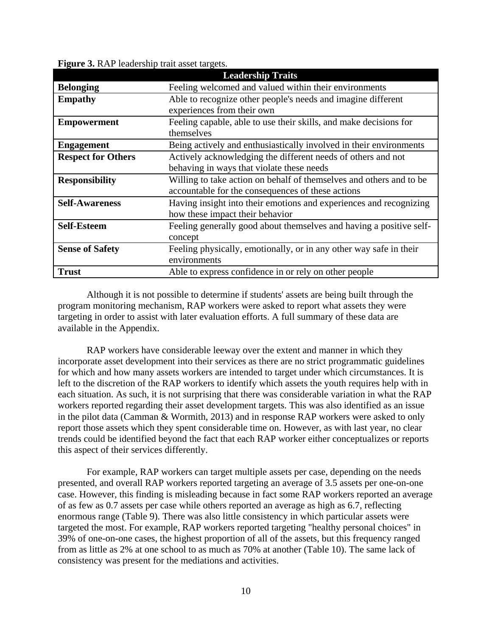|                           | <b>Leadership Traits</b>                                            |
|---------------------------|---------------------------------------------------------------------|
| <b>Belonging</b>          | Feeling welcomed and valued within their environments               |
| <b>Empathy</b>            | Able to recognize other people's needs and imagine different        |
|                           | experiences from their own                                          |
| <b>Empowerment</b>        | Feeling capable, able to use their skills, and make decisions for   |
|                           | themselves                                                          |
| <b>Engagement</b>         | Being actively and enthusiastically involved in their environments  |
| <b>Respect for Others</b> | Actively acknowledging the different needs of others and not        |
|                           | behaving in ways that violate these needs                           |
| <b>Responsibility</b>     | Willing to take action on behalf of themselves and others and to be |
|                           | accountable for the consequences of these actions                   |
| <b>Self-Awareness</b>     | Having insight into their emotions and experiences and recognizing  |
|                           | how these impact their behavior                                     |
| <b>Self-Esteem</b>        | Feeling generally good about themselves and having a positive self- |
|                           | concept                                                             |
| <b>Sense of Safety</b>    | Feeling physically, emotionally, or in any other way safe in their  |
|                           | environments                                                        |
| <b>Trust</b>              | Able to express confidence in or rely on other people               |

**Figure 3.** RAP leadership trait asset targets.

Although it is not possible to determine if students' assets are being built through the program monitoring mechanism, RAP workers were asked to report what assets they were targeting in order to assist with later evaluation efforts. A full summary of these data are available in the Appendix.

RAP workers have considerable leeway over the extent and manner in which they incorporate asset development into their services as there are no strict programmatic guidelines for which and how many assets workers are intended to target under which circumstances. It is left to the discretion of the RAP workers to identify which assets the youth requires help with in each situation. As such, it is not surprising that there was considerable variation in what the RAP workers reported regarding their asset development targets. This was also identified as an issue in the pilot data (Camman & Wormith, 2013) and in response RAP workers were asked to only report those assets which they spent considerable time on. However, as with last year, no clear trends could be identified beyond the fact that each RAP worker either conceptualizes or reports this aspect of their services differently.

For example, RAP workers can target multiple assets per case, depending on the needs presented, and overall RAP workers reported targeting an average of 3.5 assets per one-on-one case. However, this finding is misleading because in fact some RAP workers reported an average of as few as 0.7 assets per case while others reported an average as high as 6.7, reflecting enormous range (Table 9). There was also little consistency in which particular assets were targeted the most. For example, RAP workers reported targeting "healthy personal choices" in 39% of one-on-one cases, the highest proportion of all of the assets, but this frequency ranged from as little as 2% at one school to as much as 70% at another (Table 10). The same lack of consistency was present for the mediations and activities.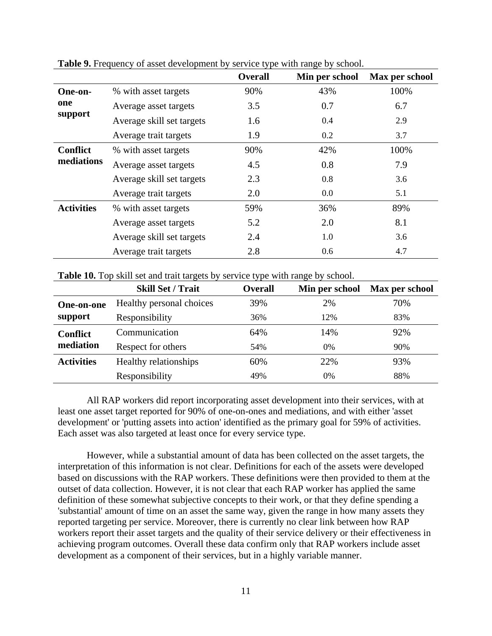|                   |                           | <b>Overall</b> | Min per school | Max per school |
|-------------------|---------------------------|----------------|----------------|----------------|
| One-on-           | % with asset targets      | 90%            | 43%            | 100%           |
| one               | Average asset targets     | 3.5            | 0.7            | 6.7            |
| support           | Average skill set targets | 1.6            | 0.4            | 2.9            |
|                   | Average trait targets     | 1.9            | 0.2            | 3.7            |
| <b>Conflict</b>   | % with asset targets      | 90%            | 42%            | 100%           |
| mediations        | Average asset targets     | 4.5            | 0.8            | 7.9            |
|                   | Average skill set targets | 2.3            | 0.8            | 3.6            |
|                   | Average trait targets     | 2.0            | 0.0            | 5.1            |
| <b>Activities</b> | % with asset targets      | 59%            | 36%            | 89%            |
|                   | Average asset targets     | 5.2            | 2.0            | 8.1            |
|                   | Average skill set targets | 2.4            | 1.0            | 3.6            |
|                   | Average trait targets     | 2.8            | 0.6            | 4.7            |

**Table 9.** Frequency of asset development by service type with range by school.

**Table 10.** Top skill set and trait targets by service type with range by school.

|                   | <b>Skill Set / Trait</b> | <b>Overall</b> | Min per school | Max per school |
|-------------------|--------------------------|----------------|----------------|----------------|
| One-on-one        | Healthy personal choices | 39%            | 2%             | 70%            |
| support           | Responsibility           | 36%            | 12%            | 83%            |
| <b>Conflict</b>   | Communication            | 64%            | 14%            | 92%            |
| mediation         | Respect for others       | 54%            | $0\%$          | 90%            |
| <b>Activities</b> | Healthy relationships    | 60%            | 22%            | 93%            |
|                   | Responsibility           | 49%            | $0\%$          | 88%            |

All RAP workers did report incorporating asset development into their services, with at least one asset target reported for 90% of one-on-ones and mediations, and with either 'asset development' or 'putting assets into action' identified as the primary goal for 59% of activities. Each asset was also targeted at least once for every service type.

However, while a substantial amount of data has been collected on the asset targets, the interpretation of this information is not clear. Definitions for each of the assets were developed based on discussions with the RAP workers. These definitions were then provided to them at the outset of data collection. However, it is not clear that each RAP worker has applied the same definition of these somewhat subjective concepts to their work, or that they define spending a 'substantial' amount of time on an asset the same way, given the range in how many assets they reported targeting per service. Moreover, there is currently no clear link between how RAP workers report their asset targets and the quality of their service delivery or their effectiveness in achieving program outcomes. Overall these data confirm only that RAP workers include asset development as a component of their services, but in a highly variable manner.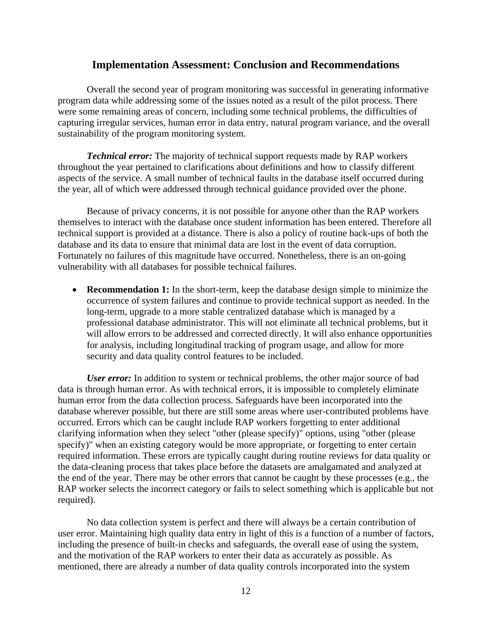#### **Implementation Assessment: Conclusion and Recommendations**

Overall the second year of program monitoring was successful in generating informative program data while addressing some of the issues noted as a result of the pilot process. There were some remaining areas of concern, including some technical problems, the difficulties of capturing irregular services, human error in data entry, natural program variance, and the overall sustainability of the program monitoring system.

*Technical error:* The majority of technical support requests made by RAP workers throughout the year pertained to clarifications about definitions and how to classify different aspects of the service. A small number of technical faults in the database itself occurred during the year, all of which were addressed through technical guidance provided over the phone.

Because of privacy concerns, it is not possible for anyone other than the RAP workers themselves to interact with the database once student information has been entered. Therefore all technical support is provided at a distance. There is also a policy of routine back-ups of both the database and its data to ensure that minimal data are lost in the event of data corruption. Fortunately no failures of this magnitude have occurred. Nonetheless, there is an on-going vulnerability with all databases for possible technical failures.

 **Recommendation 1:** In the short-term, keep the database design simple to minimize the occurrence of system failures and continue to provide technical support as needed. In the long-term, upgrade to a more stable centralized database which is managed by a professional database administrator. This will not eliminate all technical problems, but it will allow errors to be addressed and corrected directly. It will also enhance opportunities for analysis, including longitudinal tracking of program usage, and allow for more security and data quality control features to be included.

*User error:* In addition to system or technical problems, the other major source of bad data is through human error. As with technical errors, it is impossible to completely eliminate human error from the data collection process. Safeguards have been incorporated into the database wherever possible, but there are still some areas where user-contributed problems have occurred. Errors which can be caught include RAP workers forgetting to enter additional clarifying information when they select "other (please specify)" options, using "other (please specify)" when an existing category would be more appropriate, or forgetting to enter certain required information. These errors are typically caught during routine reviews for data quality or the data-cleaning process that takes place before the datasets are amalgamated and analyzed at the end of the year. There may be other errors that cannot be caught by these processes (e.g., the RAP worker selects the incorrect category or fails to select something which is applicable but not required).

No data collection system is perfect and there will always be a certain contribution of user error. Maintaining high quality data entry in light of this is a function of a number of factors, including the presence of built-in checks and safeguards, the overall ease of using the system, and the motivation of the RAP workers to enter their data as accurately as possible. As mentioned, there are already a number of data quality controls incorporated into the system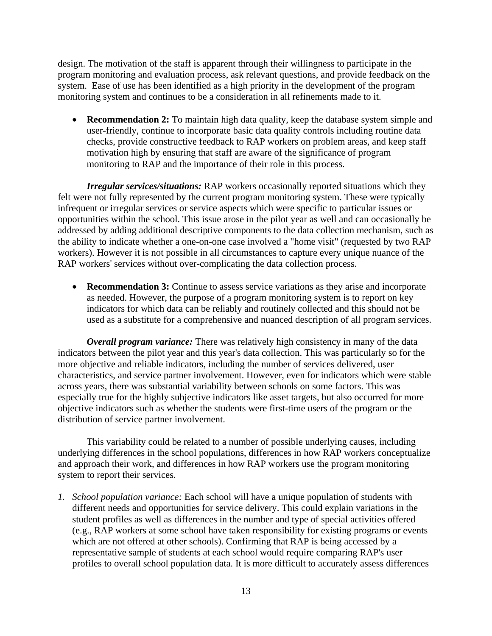design. The motivation of the staff is apparent through their willingness to participate in the program monitoring and evaluation process, ask relevant questions, and provide feedback on the system. Ease of use has been identified as a high priority in the development of the program monitoring system and continues to be a consideration in all refinements made to it.

• **Recommendation 2:** To maintain high data quality, keep the database system simple and user-friendly, continue to incorporate basic data quality controls including routine data checks, provide constructive feedback to RAP workers on problem areas, and keep staff motivation high by ensuring that staff are aware of the significance of program monitoring to RAP and the importance of their role in this process.

*Irregular services/situations:* RAP workers occasionally reported situations which they felt were not fully represented by the current program monitoring system. These were typically infrequent or irregular services or service aspects which were specific to particular issues or opportunities within the school. This issue arose in the pilot year as well and can occasionally be addressed by adding additional descriptive components to the data collection mechanism, such as the ability to indicate whether a one-on-one case involved a "home visit" (requested by two RAP workers). However it is not possible in all circumstances to capture every unique nuance of the RAP workers' services without over-complicating the data collection process.

• **Recommendation 3:** Continue to assess service variations as they arise and incorporate as needed. However, the purpose of a program monitoring system is to report on key indicators for which data can be reliably and routinely collected and this should not be used as a substitute for a comprehensive and nuanced description of all program services.

*Overall program variance:* There was relatively high consistency in many of the data indicators between the pilot year and this year's data collection. This was particularly so for the more objective and reliable indicators, including the number of services delivered, user characteristics, and service partner involvement. However, even for indicators which were stable across years, there was substantial variability between schools on some factors. This was especially true for the highly subjective indicators like asset targets, but also occurred for more objective indicators such as whether the students were first-time users of the program or the distribution of service partner involvement.

This variability could be related to a number of possible underlying causes, including underlying differences in the school populations, differences in how RAP workers conceptualize and approach their work, and differences in how RAP workers use the program monitoring system to report their services.

*1. School population variance:* Each school will have a unique population of students with different needs and opportunities for service delivery. This could explain variations in the student profiles as well as differences in the number and type of special activities offered (e.g., RAP workers at some school have taken responsibility for existing programs or events which are not offered at other schools). Confirming that RAP is being accessed by a representative sample of students at each school would require comparing RAP's user profiles to overall school population data. It is more difficult to accurately assess differences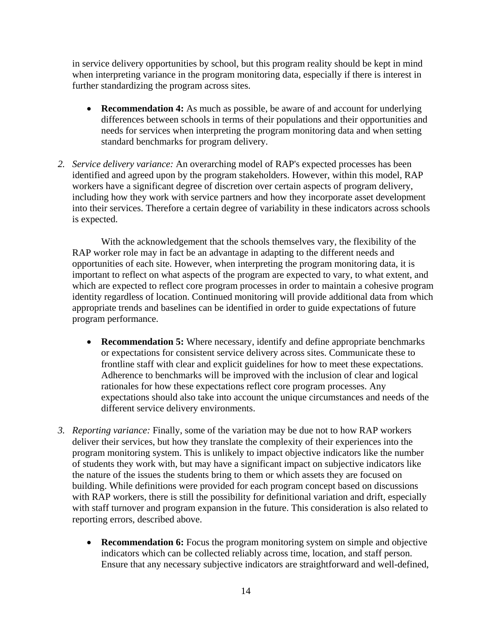in service delivery opportunities by school, but this program reality should be kept in mind when interpreting variance in the program monitoring data, especially if there is interest in further standardizing the program across sites.

- **Recommendation 4:** As much as possible, be aware of and account for underlying differences between schools in terms of their populations and their opportunities and needs for services when interpreting the program monitoring data and when setting standard benchmarks for program delivery.
- *2. Service delivery variance:* An overarching model of RAP's expected processes has been identified and agreed upon by the program stakeholders. However, within this model, RAP workers have a significant degree of discretion over certain aspects of program delivery, including how they work with service partners and how they incorporate asset development into their services. Therefore a certain degree of variability in these indicators across schools is expected.

With the acknowledgement that the schools themselves vary, the flexibility of the RAP worker role may in fact be an advantage in adapting to the different needs and opportunities of each site. However, when interpreting the program monitoring data, it is important to reflect on what aspects of the program are expected to vary, to what extent, and which are expected to reflect core program processes in order to maintain a cohesive program identity regardless of location. Continued monitoring will provide additional data from which appropriate trends and baselines can be identified in order to guide expectations of future program performance.

- **Recommendation 5:** Where necessary, identify and define appropriate benchmarks or expectations for consistent service delivery across sites. Communicate these to frontline staff with clear and explicit guidelines for how to meet these expectations. Adherence to benchmarks will be improved with the inclusion of clear and logical rationales for how these expectations reflect core program processes. Any expectations should also take into account the unique circumstances and needs of the different service delivery environments.
- *3. Reporting variance:* Finally, some of the variation may be due not to how RAP workers deliver their services, but how they translate the complexity of their experiences into the program monitoring system. This is unlikely to impact objective indicators like the number of students they work with, but may have a significant impact on subjective indicators like the nature of the issues the students bring to them or which assets they are focused on building. While definitions were provided for each program concept based on discussions with RAP workers, there is still the possibility for definitional variation and drift, especially with staff turnover and program expansion in the future. This consideration is also related to reporting errors, described above.
	- **Recommendation 6:** Focus the program monitoring system on simple and objective indicators which can be collected reliably across time, location, and staff person. Ensure that any necessary subjective indicators are straightforward and well-defined,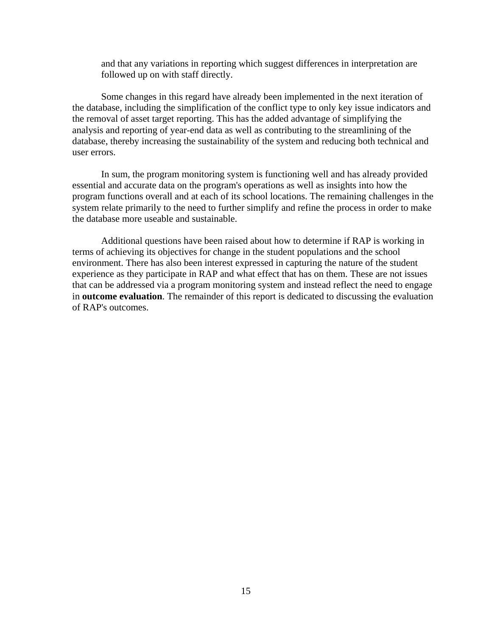and that any variations in reporting which suggest differences in interpretation are followed up on with staff directly.

Some changes in this regard have already been implemented in the next iteration of the database, including the simplification of the conflict type to only key issue indicators and the removal of asset target reporting. This has the added advantage of simplifying the analysis and reporting of year-end data as well as contributing to the streamlining of the database, thereby increasing the sustainability of the system and reducing both technical and user errors.

In sum, the program monitoring system is functioning well and has already provided essential and accurate data on the program's operations as well as insights into how the program functions overall and at each of its school locations. The remaining challenges in the system relate primarily to the need to further simplify and refine the process in order to make the database more useable and sustainable.

Additional questions have been raised about how to determine if RAP is working in terms of achieving its objectives for change in the student populations and the school environment. There has also been interest expressed in capturing the nature of the student experience as they participate in RAP and what effect that has on them. These are not issues that can be addressed via a program monitoring system and instead reflect the need to engage in **outcome evaluation**. The remainder of this report is dedicated to discussing the evaluation of RAP's outcomes.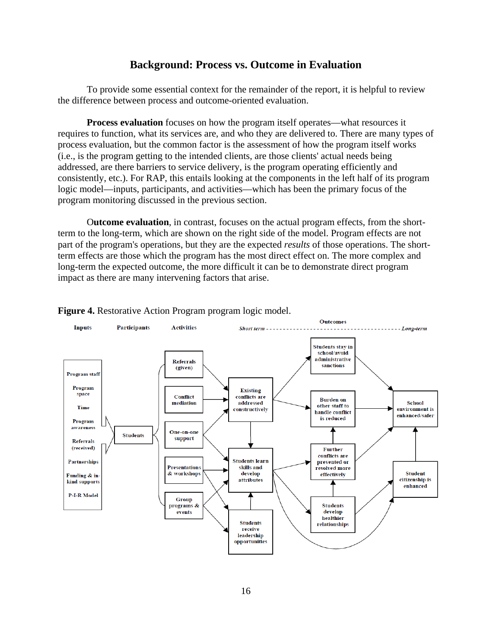### **Background: Process vs. Outcome in Evaluation**

To provide some essential context for the remainder of the report, it is helpful to review the difference between process and outcome-oriented evaluation.

**Process evaluation** focuses on how the program itself operates—what resources it requires to function, what its services are, and who they are delivered to. There are many types of process evaluation, but the common factor is the assessment of how the program itself works (i.e., is the program getting to the intended clients, are those clients' actual needs being addressed, are there barriers to service delivery, is the program operating efficiently and consistently, etc.). For RAP, this entails looking at the components in the left half of its program logic model—inputs, participants, and activities—which has been the primary focus of the program monitoring discussed in the previous section.

O**utcome evaluation**, in contrast, focuses on the actual program effects, from the shortterm to the long-term, which are shown on the right side of the model. Program effects are not part of the program's operations, but they are the expected *results* of those operations. The shortterm effects are those which the program has the most direct effect on. The more complex and long-term the expected outcome, the more difficult it can be to demonstrate direct program impact as there are many intervening factors that arise.



**Figure 4.** Restorative Action Program program logic model.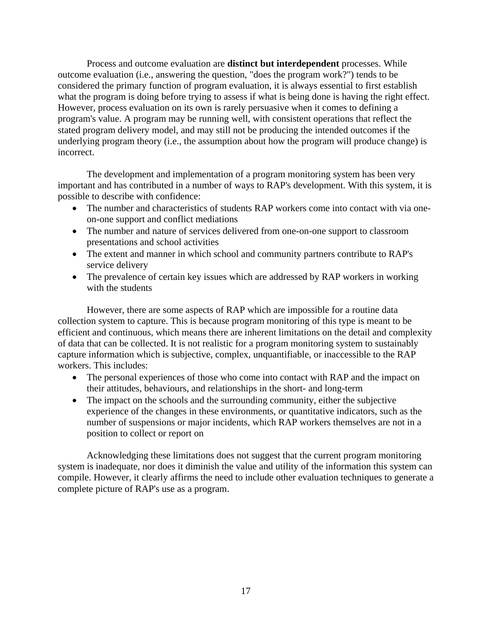Process and outcome evaluation are **distinct but interdependent** processes. While outcome evaluation (i.e., answering the question, "does the program work?") tends to be considered the primary function of program evaluation, it is always essential to first establish what the program is doing before trying to assess if what is being done is having the right effect. However, process evaluation on its own is rarely persuasive when it comes to defining a program's value. A program may be running well, with consistent operations that reflect the stated program delivery model, and may still not be producing the intended outcomes if the underlying program theory (i.e., the assumption about how the program will produce change) is incorrect.

The development and implementation of a program monitoring system has been very important and has contributed in a number of ways to RAP's development. With this system, it is possible to describe with confidence:

- The number and characteristics of students RAP workers come into contact with via oneon-one support and conflict mediations
- The number and nature of services delivered from one-on-one support to classroom presentations and school activities
- The extent and manner in which school and community partners contribute to RAP's service delivery
- The prevalence of certain key issues which are addressed by RAP workers in working with the students

However, there are some aspects of RAP which are impossible for a routine data collection system to capture. This is because program monitoring of this type is meant to be efficient and continuous, which means there are inherent limitations on the detail and complexity of data that can be collected. It is not realistic for a program monitoring system to sustainably capture information which is subjective, complex, unquantifiable, or inaccessible to the RAP workers. This includes:

- The personal experiences of those who come into contact with RAP and the impact on their attitudes, behaviours, and relationships in the short- and long-term
- The impact on the schools and the surrounding community, either the subjective experience of the changes in these environments, or quantitative indicators, such as the number of suspensions or major incidents, which RAP workers themselves are not in a position to collect or report on

Acknowledging these limitations does not suggest that the current program monitoring system is inadequate, nor does it diminish the value and utility of the information this system can compile. However, it clearly affirms the need to include other evaluation techniques to generate a complete picture of RAP's use as a program.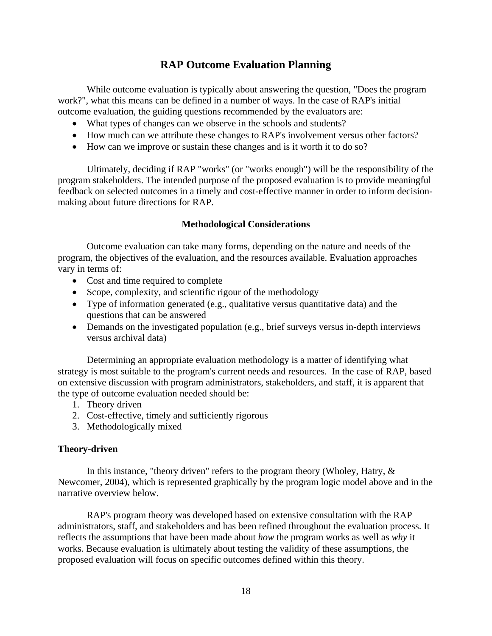## **RAP Outcome Evaluation Planning**

While outcome evaluation is typically about answering the question, "Does the program work?", what this means can be defined in a number of ways. In the case of RAP's initial outcome evaluation, the guiding questions recommended by the evaluators are:

- What types of changes can we observe in the schools and students?
- How much can we attribute these changes to RAP's involvement versus other factors?
- How can we improve or sustain these changes and is it worth it to do so?

Ultimately, deciding if RAP "works" (or "works enough") will be the responsibility of the program stakeholders. The intended purpose of the proposed evaluation is to provide meaningful feedback on selected outcomes in a timely and cost-effective manner in order to inform decisionmaking about future directions for RAP.

#### **Methodological Considerations**

Outcome evaluation can take many forms, depending on the nature and needs of the program, the objectives of the evaluation, and the resources available. Evaluation approaches vary in terms of:

- Cost and time required to complete
- Scope, complexity, and scientific rigour of the methodology
- Type of information generated (e.g., qualitative versus quantitative data) and the questions that can be answered
- Demands on the investigated population (e.g., brief surveys versus in-depth interviews versus archival data)

Determining an appropriate evaluation methodology is a matter of identifying what strategy is most suitable to the program's current needs and resources. In the case of RAP, based on extensive discussion with program administrators, stakeholders, and staff, it is apparent that the type of outcome evaluation needed should be:

- 1. Theory driven
- 2. Cost-effective, timely and sufficiently rigorous
- 3. Methodologically mixed

#### **Theory-driven**

In this instance, "theory driven" refers to the program theory (Wholey, Hatry,  $\&$ Newcomer, 2004), which is represented graphically by the program logic model above and in the narrative overview below.

RAP's program theory was developed based on extensive consultation with the RAP administrators, staff, and stakeholders and has been refined throughout the evaluation process. It reflects the assumptions that have been made about *how* the program works as well as *why* it works. Because evaluation is ultimately about testing the validity of these assumptions, the proposed evaluation will focus on specific outcomes defined within this theory.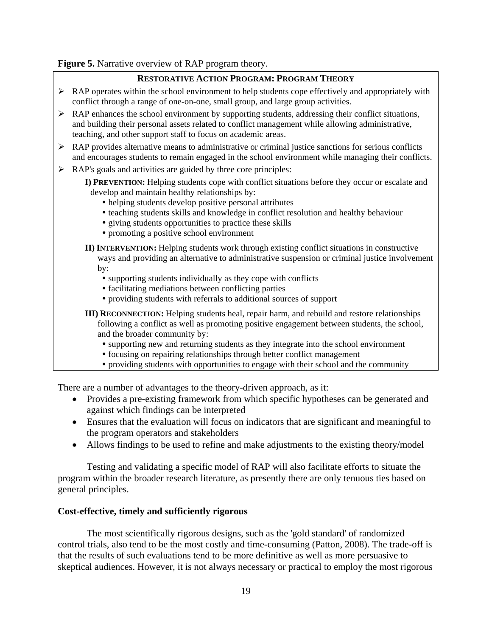#### **Figure 5.** Narrative overview of RAP program theory.

#### **RESTORATIVE ACTION PROGRAM: PROGRAM THEORY**

- ARP operates within the school environment to help students cope effectively and appropriately with conflict through a range of one-on-one, small group, and large group activities.
- $\triangleright$  RAP enhances the school environment by supporting students, addressing their conflict situations, and building their personal assets related to conflict management while allowing administrative, teaching, and other support staff to focus on academic areas.
- $\triangleright$  RAP provides alternative means to administrative or criminal justice sanctions for serious conflicts and encourages students to remain engaged in the school environment while managing their conflicts.
- $\triangleright$  RAP's goals and activities are guided by three core principles:

 **I) PREVENTION:** Helping students cope with conflict situations before they occur or escalate and develop and maintain healthy relationships by:

- helping students develop positive personal attributes
- teaching students skills and knowledge in conflict resolution and healthy behaviour
- giving students opportunities to practice these skills
- promoting a positive school environment
- **II) INTERVENTION:** Helping students work through existing conflict situations in constructive ways and providing an alternative to administrative suspension or criminal justice involvement by:
	- supporting students individually as they cope with conflicts
	- facilitating mediations between conflicting parties
	- providing students with referrals to additional sources of support

 **III) RECONNECTION:** Helping students heal, repair harm, and rebuild and restore relationships following a conflict as well as promoting positive engagement between students, the school, and the broader community by:

- supporting new and returning students as they integrate into the school environment
- focusing on repairing relationships through better conflict management
- providing students with opportunities to engage with their school and the community

There are a number of advantages to the theory-driven approach, as it:

- Provides a pre-existing framework from which specific hypotheses can be generated and against which findings can be interpreted
- Ensures that the evaluation will focus on indicators that are significant and meaningful to the program operators and stakeholders
- Allows findings to be used to refine and make adjustments to the existing theory/model

Testing and validating a specific model of RAP will also facilitate efforts to situate the program within the broader research literature, as presently there are only tenuous ties based on general principles.

#### **Cost-effective, timely and sufficiently rigorous**

The most scientifically rigorous designs, such as the 'gold standard' of randomized control trials, also tend to be the most costly and time-consuming (Patton, 2008). The trade-off is that the results of such evaluations tend to be more definitive as well as more persuasive to skeptical audiences. However, it is not always necessary or practical to employ the most rigorous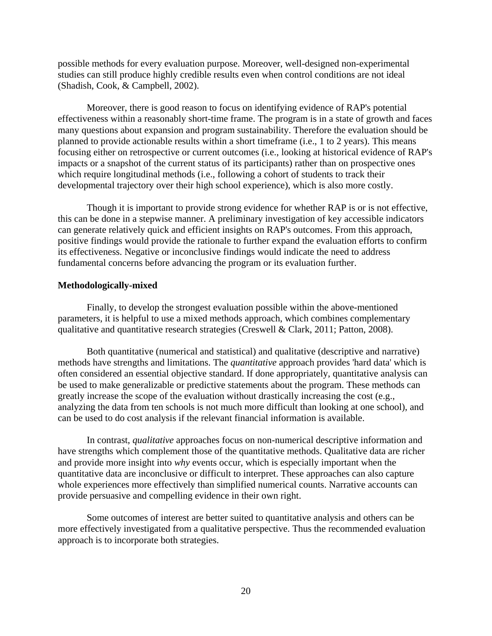possible methods for every evaluation purpose. Moreover, well-designed non-experimental studies can still produce highly credible results even when control conditions are not ideal (Shadish, Cook, & Campbell, 2002).

Moreover, there is good reason to focus on identifying evidence of RAP's potential effectiveness within a reasonably short-time frame. The program is in a state of growth and faces many questions about expansion and program sustainability. Therefore the evaluation should be planned to provide actionable results within a short timeframe (i.e., 1 to 2 years). This means focusing either on retrospective or current outcomes (i.e., looking at historical evidence of RAP's impacts or a snapshot of the current status of its participants) rather than on prospective ones which require longitudinal methods (i.e., following a cohort of students to track their developmental trajectory over their high school experience), which is also more costly.

Though it is important to provide strong evidence for whether RAP is or is not effective, this can be done in a stepwise manner. A preliminary investigation of key accessible indicators can generate relatively quick and efficient insights on RAP's outcomes. From this approach, positive findings would provide the rationale to further expand the evaluation efforts to confirm its effectiveness. Negative or inconclusive findings would indicate the need to address fundamental concerns before advancing the program or its evaluation further.

#### **Methodologically-mixed**

Finally, to develop the strongest evaluation possible within the above-mentioned parameters, it is helpful to use a mixed methods approach, which combines complementary qualitative and quantitative research strategies (Creswell & Clark, 2011; Patton, 2008).

Both quantitative (numerical and statistical) and qualitative (descriptive and narrative) methods have strengths and limitations. The *quantitative* approach provides 'hard data' which is often considered an essential objective standard. If done appropriately, quantitative analysis can be used to make generalizable or predictive statements about the program. These methods can greatly increase the scope of the evaluation without drastically increasing the cost (e.g., analyzing the data from ten schools is not much more difficult than looking at one school), and can be used to do cost analysis if the relevant financial information is available.

In contrast, *qualitative* approaches focus on non-numerical descriptive information and have strengths which complement those of the quantitative methods. Qualitative data are richer and provide more insight into *why* events occur, which is especially important when the quantitative data are inconclusive or difficult to interpret. These approaches can also capture whole experiences more effectively than simplified numerical counts. Narrative accounts can provide persuasive and compelling evidence in their own right.

Some outcomes of interest are better suited to quantitative analysis and others can be more effectively investigated from a qualitative perspective. Thus the recommended evaluation approach is to incorporate both strategies.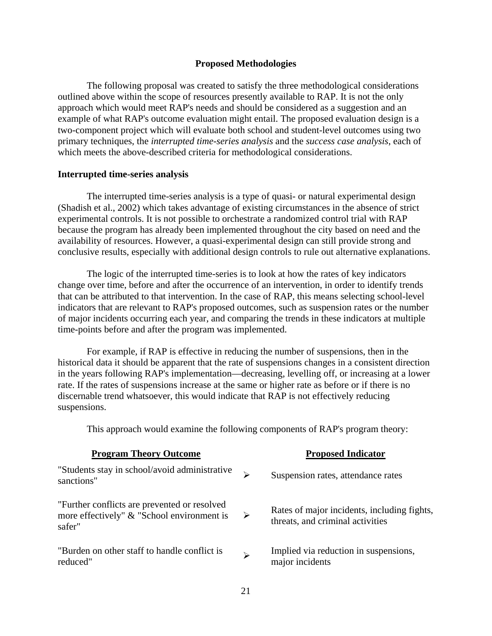#### **Proposed Methodologies**

The following proposal was created to satisfy the three methodological considerations outlined above within the scope of resources presently available to RAP. It is not the only approach which would meet RAP's needs and should be considered as a suggestion and an example of what RAP's outcome evaluation might entail. The proposed evaluation design is a two-component project which will evaluate both school and student-level outcomes using two primary techniques, the *interrupted time-series analysis* and the *success case analysis*, each of which meets the above-described criteria for methodological considerations.

#### **Interrupted time-series analysis**

The interrupted time-series analysis is a type of quasi- or natural experimental design (Shadish et al., 2002) which takes advantage of existing circumstances in the absence of strict experimental controls. It is not possible to orchestrate a randomized control trial with RAP because the program has already been implemented throughout the city based on need and the availability of resources. However, a quasi-experimental design can still provide strong and conclusive results, especially with additional design controls to rule out alternative explanations.

The logic of the interrupted time-series is to look at how the rates of key indicators change over time, before and after the occurrence of an intervention, in order to identify trends that can be attributed to that intervention. In the case of RAP, this means selecting school-level indicators that are relevant to RAP's proposed outcomes, such as suspension rates or the number of major incidents occurring each year, and comparing the trends in these indicators at multiple time-points before and after the program was implemented.

For example, if RAP is effective in reducing the number of suspensions, then in the historical data it should be apparent that the rate of suspensions changes in a consistent direction in the years following RAP's implementation—decreasing, levelling off, or increasing at a lower rate. If the rates of suspensions increase at the same or higher rate as before or if there is no discernable trend whatsoever, this would indicate that RAP is not effectively reducing suspensions.

This approach would examine the following components of RAP's program theory:

| <b>Program Theory Outcome</b>                                                                        |                       | <b>Proposed Indicator</b>                                                       |  |  |
|------------------------------------------------------------------------------------------------------|-----------------------|---------------------------------------------------------------------------------|--|--|
| "Students stay in school/avoid administrative<br>sanctions"                                          | ↘                     | Suspension rates, attendance rates                                              |  |  |
| "Further conflicts are prevented or resolved<br>more effectively" & "School environment is<br>safer" | ➤                     | Rates of major incidents, including fights,<br>threats, and criminal activities |  |  |
| "Burden on other staff to handle conflict is<br>reduced"                                             | $\blacktriangleright$ | Implied via reduction in suspensions,<br>major incidents                        |  |  |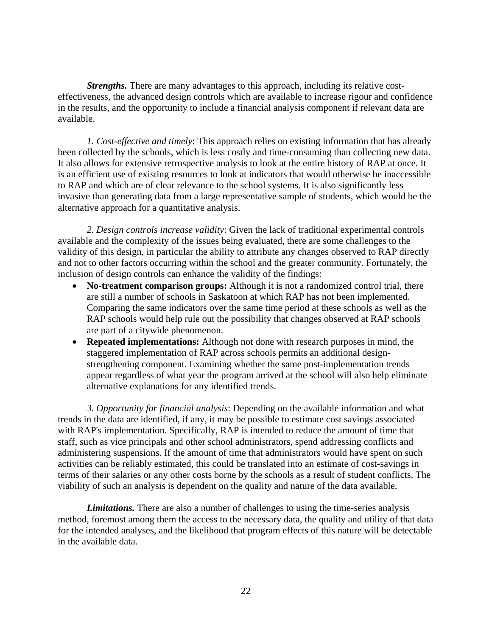*Strengths.* There are many advantages to this approach, including its relative costeffectiveness, the advanced design controls which are available to increase rigour and confidence in the results, and the opportunity to include a financial analysis component if relevant data are available.

*1. Cost-effective and timely*: This approach relies on existing information that has already been collected by the schools, which is less costly and time-consuming than collecting new data. It also allows for extensive retrospective analysis to look at the entire history of RAP at once. It is an efficient use of existing resources to look at indicators that would otherwise be inaccessible to RAP and which are of clear relevance to the school systems. It is also significantly less invasive than generating data from a large representative sample of students, which would be the alternative approach for a quantitative analysis.

*2. Design controls increase validity*: Given the lack of traditional experimental controls available and the complexity of the issues being evaluated, there are some challenges to the validity of this design, in particular the ability to attribute any changes observed to RAP directly and not to other factors occurring within the school and the greater community. Fortunately, the inclusion of design controls can enhance the validity of the findings:

- **No-treatment comparison groups:** Although it is not a randomized control trial, there are still a number of schools in Saskatoon at which RAP has not been implemented. Comparing the same indicators over the same time period at these schools as well as the RAP schools would help rule out the possibility that changes observed at RAP schools are part of a citywide phenomenon.
- **Repeated implementations:** Although not done with research purposes in mind, the staggered implementation of RAP across schools permits an additional designstrengthening component. Examining whether the same post-implementation trends appear regardless of what year the program arrived at the school will also help eliminate alternative explanations for any identified trends.

*3. Opportunity for financial analysis*: Depending on the available information and what trends in the data are identified, if any, it may be possible to estimate cost savings associated with RAP's implementation. Specifically, RAP is intended to reduce the amount of time that staff, such as vice principals and other school administrators, spend addressing conflicts and administering suspensions. If the amount of time that administrators would have spent on such activities can be reliably estimated, this could be translated into an estimate of cost-savings in terms of their salaries or any other costs borne by the schools as a result of student conflicts. The viability of such an analysis is dependent on the quality and nature of the data available.

*Limitations.* There are also a number of challenges to using the time-series analysis method, foremost among them the access to the necessary data, the quality and utility of that data for the intended analyses, and the likelihood that program effects of this nature will be detectable in the available data.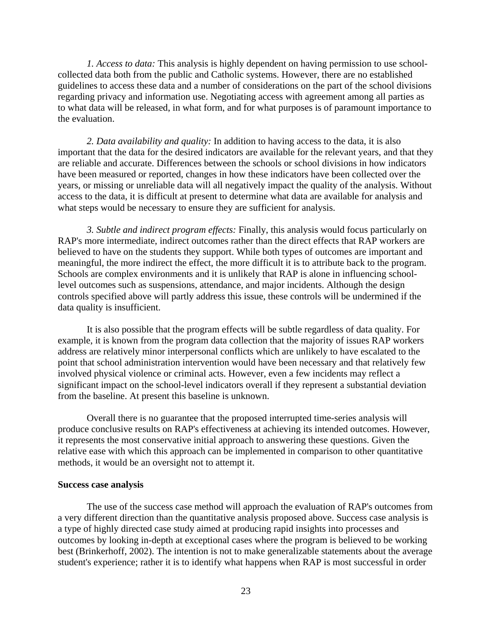*1. Access to data:* This analysis is highly dependent on having permission to use schoolcollected data both from the public and Catholic systems. However, there are no established guidelines to access these data and a number of considerations on the part of the school divisions regarding privacy and information use. Negotiating access with agreement among all parties as to what data will be released, in what form, and for what purposes is of paramount importance to the evaluation.

*2. Data availability and quality:* In addition to having access to the data, it is also important that the data for the desired indicators are available for the relevant years, and that they are reliable and accurate. Differences between the schools or school divisions in how indicators have been measured or reported, changes in how these indicators have been collected over the years, or missing or unreliable data will all negatively impact the quality of the analysis. Without access to the data, it is difficult at present to determine what data are available for analysis and what steps would be necessary to ensure they are sufficient for analysis.

*3. Subtle and indirect program effects:* Finally, this analysis would focus particularly on RAP's more intermediate, indirect outcomes rather than the direct effects that RAP workers are believed to have on the students they support. While both types of outcomes are important and meaningful, the more indirect the effect, the more difficult it is to attribute back to the program. Schools are complex environments and it is unlikely that RAP is alone in influencing schoollevel outcomes such as suspensions, attendance, and major incidents. Although the design controls specified above will partly address this issue, these controls will be undermined if the data quality is insufficient.

It is also possible that the program effects will be subtle regardless of data quality. For example, it is known from the program data collection that the majority of issues RAP workers address are relatively minor interpersonal conflicts which are unlikely to have escalated to the point that school administration intervention would have been necessary and that relatively few involved physical violence or criminal acts. However, even a few incidents may reflect a significant impact on the school-level indicators overall if they represent a substantial deviation from the baseline. At present this baseline is unknown.

Overall there is no guarantee that the proposed interrupted time-series analysis will produce conclusive results on RAP's effectiveness at achieving its intended outcomes. However, it represents the most conservative initial approach to answering these questions. Given the relative ease with which this approach can be implemented in comparison to other quantitative methods, it would be an oversight not to attempt it.

#### **Success case analysis**

The use of the success case method will approach the evaluation of RAP's outcomes from a very different direction than the quantitative analysis proposed above. Success case analysis is a type of highly directed case study aimed at producing rapid insights into processes and outcomes by looking in-depth at exceptional cases where the program is believed to be working best (Brinkerhoff, 2002). The intention is not to make generalizable statements about the average student's experience; rather it is to identify what happens when RAP is most successful in order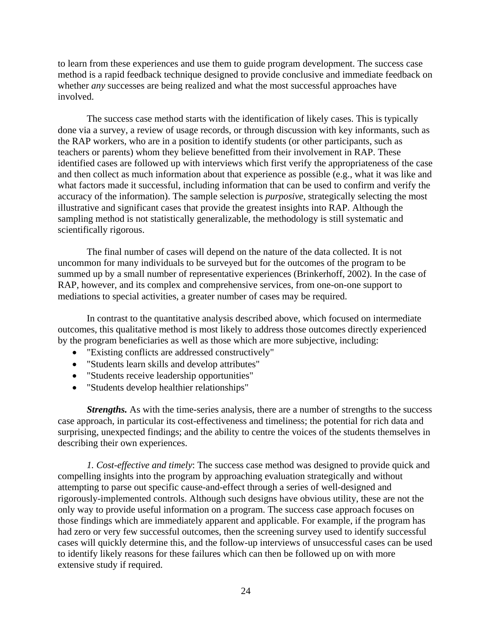to learn from these experiences and use them to guide program development. The success case method is a rapid feedback technique designed to provide conclusive and immediate feedback on whether *any* successes are being realized and what the most successful approaches have involved.

The success case method starts with the identification of likely cases. This is typically done via a survey, a review of usage records, or through discussion with key informants, such as the RAP workers, who are in a position to identify students (or other participants, such as teachers or parents) whom they believe benefitted from their involvement in RAP. These identified cases are followed up with interviews which first verify the appropriateness of the case and then collect as much information about that experience as possible (e.g., what it was like and what factors made it successful, including information that can be used to confirm and verify the accuracy of the information). The sample selection is *purposive*, strategically selecting the most illustrative and significant cases that provide the greatest insights into RAP. Although the sampling method is not statistically generalizable, the methodology is still systematic and scientifically rigorous.

The final number of cases will depend on the nature of the data collected. It is not uncommon for many individuals to be surveyed but for the outcomes of the program to be summed up by a small number of representative experiences (Brinkerhoff, 2002). In the case of RAP, however, and its complex and comprehensive services, from one-on-one support to mediations to special activities, a greater number of cases may be required.

In contrast to the quantitative analysis described above, which focused on intermediate outcomes, this qualitative method is most likely to address those outcomes directly experienced by the program beneficiaries as well as those which are more subjective, including:

- "Existing conflicts are addressed constructively"
- "Students learn skills and develop attributes"
- "Students receive leadership opportunities"
- "Students develop healthier relationships"

*Strengths.* As with the time-series analysis, there are a number of strengths to the success case approach, in particular its cost-effectiveness and timeliness; the potential for rich data and surprising, unexpected findings; and the ability to centre the voices of the students themselves in describing their own experiences.

*1. Cost-effective and timely*: The success case method was designed to provide quick and compelling insights into the program by approaching evaluation strategically and without attempting to parse out specific cause-and-effect through a series of well-designed and rigorously-implemented controls. Although such designs have obvious utility, these are not the only way to provide useful information on a program. The success case approach focuses on those findings which are immediately apparent and applicable. For example, if the program has had zero or very few successful outcomes, then the screening survey used to identify successful cases will quickly determine this, and the follow-up interviews of unsuccessful cases can be used to identify likely reasons for these failures which can then be followed up on with more extensive study if required.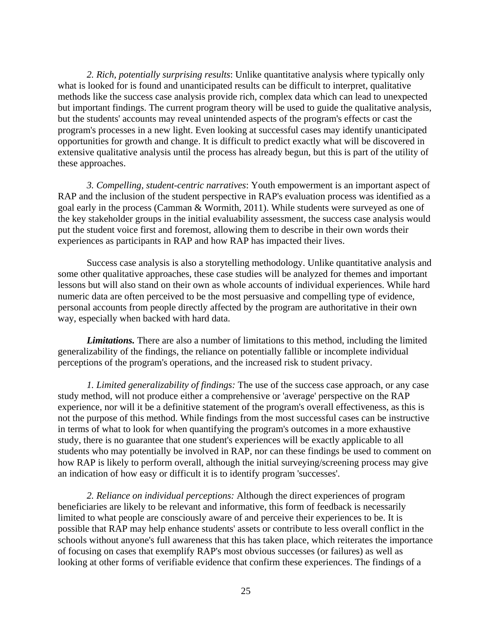*2. Rich, potentially surprising results*: Unlike quantitative analysis where typically only what is looked for is found and unanticipated results can be difficult to interpret, qualitative methods like the success case analysis provide rich, complex data which can lead to unexpected but important findings. The current program theory will be used to guide the qualitative analysis, but the students' accounts may reveal unintended aspects of the program's effects or cast the program's processes in a new light. Even looking at successful cases may identify unanticipated opportunities for growth and change. It is difficult to predict exactly what will be discovered in extensive qualitative analysis until the process has already begun, but this is part of the utility of these approaches.

*3. Compelling, student-centric narratives*: Youth empowerment is an important aspect of RAP and the inclusion of the student perspective in RAP's evaluation process was identified as a goal early in the process (Camman & Wormith, 2011). While students were surveyed as one of the key stakeholder groups in the initial evaluability assessment, the success case analysis would put the student voice first and foremost, allowing them to describe in their own words their experiences as participants in RAP and how RAP has impacted their lives.

Success case analysis is also a storytelling methodology. Unlike quantitative analysis and some other qualitative approaches, these case studies will be analyzed for themes and important lessons but will also stand on their own as whole accounts of individual experiences. While hard numeric data are often perceived to be the most persuasive and compelling type of evidence, personal accounts from people directly affected by the program are authoritative in their own way, especially when backed with hard data.

*Limitations.* There are also a number of limitations to this method, including the limited generalizability of the findings, the reliance on potentially fallible or incomplete individual perceptions of the program's operations, and the increased risk to student privacy.

*1. Limited generalizability of findings:* The use of the success case approach, or any case study method, will not produce either a comprehensive or 'average' perspective on the RAP experience, nor will it be a definitive statement of the program's overall effectiveness, as this is not the purpose of this method. While findings from the most successful cases can be instructive in terms of what to look for when quantifying the program's outcomes in a more exhaustive study, there is no guarantee that one student's experiences will be exactly applicable to all students who may potentially be involved in RAP, nor can these findings be used to comment on how RAP is likely to perform overall, although the initial surveying/screening process may give an indication of how easy or difficult it is to identify program 'successes'.

*2. Reliance on individual perceptions:* Although the direct experiences of program beneficiaries are likely to be relevant and informative, this form of feedback is necessarily limited to what people are consciously aware of and perceive their experiences to be. It is possible that RAP may help enhance students' assets or contribute to less overall conflict in the schools without anyone's full awareness that this has taken place, which reiterates the importance of focusing on cases that exemplify RAP's most obvious successes (or failures) as well as looking at other forms of verifiable evidence that confirm these experiences. The findings of a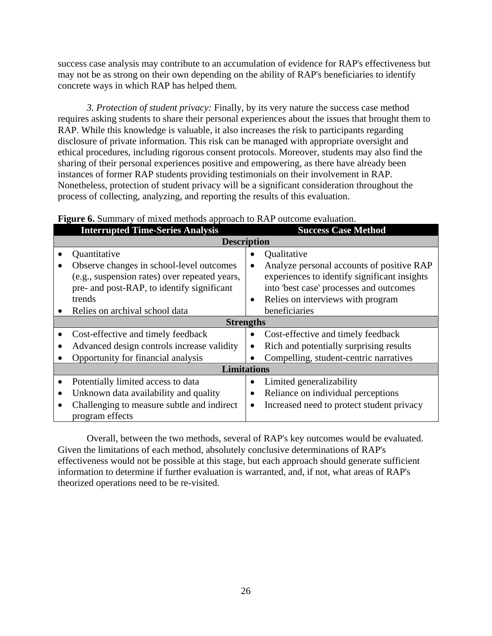success case analysis may contribute to an accumulation of evidence for RAP's effectiveness but may not be as strong on their own depending on the ability of RAP's beneficiaries to identify concrete ways in which RAP has helped them.

*3. Protection of student privacy:* Finally, by its very nature the success case method requires asking students to share their personal experiences about the issues that brought them to RAP. While this knowledge is valuable, it also increases the risk to participants regarding disclosure of private information. This risk can be managed with appropriate oversight and ethical procedures, including rigorous consent protocols. Moreover, students may also find the sharing of their personal experiences positive and empowering, as there have already been instances of former RAP students providing testimonials on their involvement in RAP. Nonetheless, protection of student privacy will be a significant consideration throughout the process of collecting, analyzing, and reporting the results of this evaluation.

|           | <b>Interrupted Time-Series Analysis</b>                       |                                                | <b>Success Case Method</b>                   |  |  |  |
|-----------|---------------------------------------------------------------|------------------------------------------------|----------------------------------------------|--|--|--|
|           | <b>Description</b>                                            |                                                |                                              |  |  |  |
|           | Quantitative                                                  |                                                | Qualitative                                  |  |  |  |
|           | Observe changes in school-level outcomes                      | ٠                                              | Analyze personal accounts of positive RAP    |  |  |  |
|           | (e.g., suspension rates) over repeated years,                 |                                                | experiences to identify significant insights |  |  |  |
|           | pre- and post-RAP, to identify significant                    |                                                | into 'best case' processes and outcomes      |  |  |  |
|           | trends                                                        | Relies on interviews with program<br>$\bullet$ |                                              |  |  |  |
|           | Relies on archival school data                                |                                                | beneficiaries                                |  |  |  |
|           | <b>Strengths</b>                                              |                                                |                                              |  |  |  |
|           | Cost-effective and timely feedback                            | ٠                                              | Cost-effective and timely feedback           |  |  |  |
|           | Advanced design controls increase validity                    | $\bullet$                                      | Rich and potentially surprising results      |  |  |  |
|           | Opportunity for financial analysis                            |                                                | Compelling, student-centric narratives       |  |  |  |
|           | <b>Limitations</b>                                            |                                                |                                              |  |  |  |
|           | Potentially limited access to data                            | ٠                                              | Limited generalizability                     |  |  |  |
| $\bullet$ | Unknown data availability and quality                         | ٠                                              | Reliance on individual perceptions           |  |  |  |
|           | Challenging to measure subtle and indirect<br>program effects | ٠                                              | Increased need to protect student privacy    |  |  |  |

### **Figure 6.** Summary of mixed methods approach to RAP outcome evaluation.

Overall, between the two methods, several of RAP's key outcomes would be evaluated. Given the limitations of each method, absolutely conclusive determinations of RAP's effectiveness would not be possible at this stage, but each approach should generate sufficient information to determine if further evaluation is warranted, and, if not, what areas of RAP's theorized operations need to be re-visited.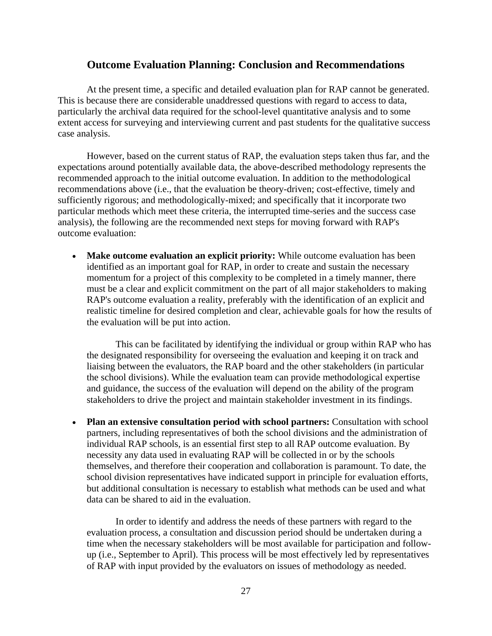#### **Outcome Evaluation Planning: Conclusion and Recommendations**

At the present time, a specific and detailed evaluation plan for RAP cannot be generated. This is because there are considerable unaddressed questions with regard to access to data, particularly the archival data required for the school-level quantitative analysis and to some extent access for surveying and interviewing current and past students for the qualitative success case analysis.

However, based on the current status of RAP, the evaluation steps taken thus far, and the expectations around potentially available data, the above-described methodology represents the recommended approach to the initial outcome evaluation. In addition to the methodological recommendations above (i.e., that the evaluation be theory-driven; cost-effective, timely and sufficiently rigorous; and methodologically-mixed; and specifically that it incorporate two particular methods which meet these criteria, the interrupted time-series and the success case analysis), the following are the recommended next steps for moving forward with RAP's outcome evaluation:

 **Make outcome evaluation an explicit priority:** While outcome evaluation has been identified as an important goal for RAP, in order to create and sustain the necessary momentum for a project of this complexity to be completed in a timely manner, there must be a clear and explicit commitment on the part of all major stakeholders to making RAP's outcome evaluation a reality, preferably with the identification of an explicit and realistic timeline for desired completion and clear, achievable goals for how the results of the evaluation will be put into action.

This can be facilitated by identifying the individual or group within RAP who has the designated responsibility for overseeing the evaluation and keeping it on track and liaising between the evaluators, the RAP board and the other stakeholders (in particular the school divisions). While the evaluation team can provide methodological expertise and guidance, the success of the evaluation will depend on the ability of the program stakeholders to drive the project and maintain stakeholder investment in its findings.

 **Plan an extensive consultation period with school partners:** Consultation with school partners, including representatives of both the school divisions and the administration of individual RAP schools, is an essential first step to all RAP outcome evaluation. By necessity any data used in evaluating RAP will be collected in or by the schools themselves, and therefore their cooperation and collaboration is paramount. To date, the school division representatives have indicated support in principle for evaluation efforts, but additional consultation is necessary to establish what methods can be used and what data can be shared to aid in the evaluation.

In order to identify and address the needs of these partners with regard to the evaluation process, a consultation and discussion period should be undertaken during a time when the necessary stakeholders will be most available for participation and followup (i.e., September to April). This process will be most effectively led by representatives of RAP with input provided by the evaluators on issues of methodology as needed.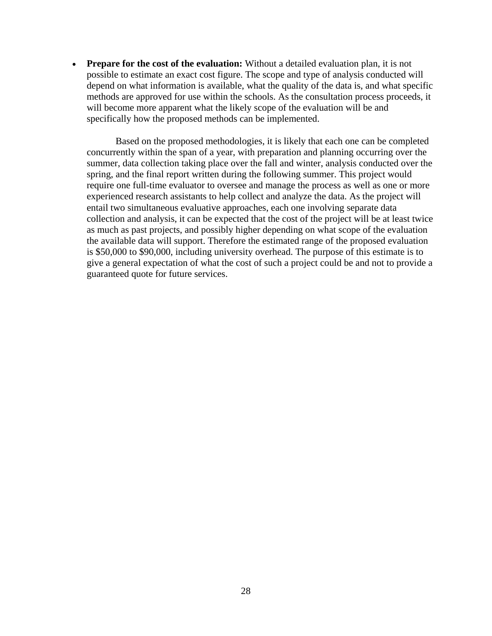**Prepare for the cost of the evaluation:** Without a detailed evaluation plan, it is not possible to estimate an exact cost figure. The scope and type of analysis conducted will depend on what information is available, what the quality of the data is, and what specific methods are approved for use within the schools. As the consultation process proceeds, it will become more apparent what the likely scope of the evaluation will be and specifically how the proposed methods can be implemented.

Based on the proposed methodologies, it is likely that each one can be completed concurrently within the span of a year, with preparation and planning occurring over the summer, data collection taking place over the fall and winter, analysis conducted over the spring, and the final report written during the following summer. This project would require one full-time evaluator to oversee and manage the process as well as one or more experienced research assistants to help collect and analyze the data. As the project will entail two simultaneous evaluative approaches, each one involving separate data collection and analysis, it can be expected that the cost of the project will be at least twice as much as past projects, and possibly higher depending on what scope of the evaluation the available data will support. Therefore the estimated range of the proposed evaluation is \$50,000 to \$90,000, including university overhead. The purpose of this estimate is to give a general expectation of what the cost of such a project could be and not to provide a guaranteed quote for future services.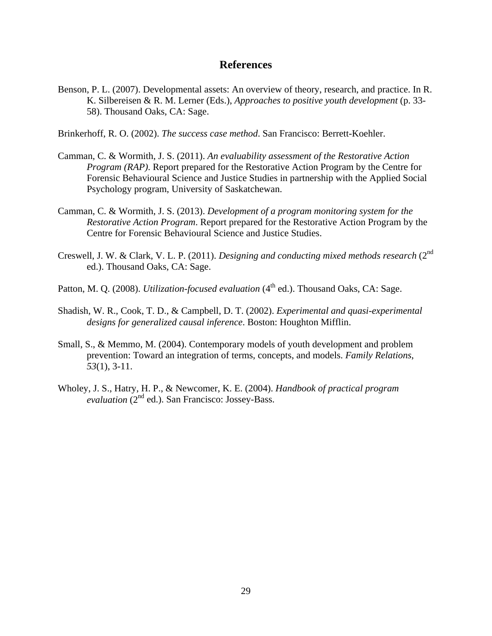#### **References**

Benson, P. L. (2007). Developmental assets: An overview of theory, research, and practice. In R. K. Silbereisen & R. M. Lerner (Eds.), *Approaches to positive youth development* (p. 33- 58). Thousand Oaks, CA: Sage.

Brinkerhoff, R. O. (2002). *The success case method*. San Francisco: Berrett-Koehler.

- Camman, C. & Wormith, J. S. (2011). *An evaluability assessment of the Restorative Action Program (RAP)*. Report prepared for the Restorative Action Program by the Centre for Forensic Behavioural Science and Justice Studies in partnership with the Applied Social Psychology program, University of Saskatchewan.
- Camman, C. & Wormith, J. S. (2013). *Development of a program monitoring system for the Restorative Action Program*. Report prepared for the Restorative Action Program by the Centre for Forensic Behavioural Science and Justice Studies.
- Creswell, J. W. & Clark, V. L. P. (2011). *Designing and conducting mixed methods research* (2<sup>nd</sup> ed.). Thousand Oaks, CA: Sage.
- Patton, M. Q. (2008). *Utilization-focused evaluation* (4<sup>th</sup> ed.). Thousand Oaks, CA: Sage.
- Shadish, W. R., Cook, T. D., & Campbell, D. T. (2002). *Experimental and quasi-experimental designs for generalized causal inference*. Boston: Houghton Mifflin.
- Small, S., & Memmo, M. (2004). Contemporary models of youth development and problem prevention: Toward an integration of terms, concepts, and models. *Family Relations*, *53*(1), 3-11.
- Wholey, J. S., Hatry, H. P., & Newcomer, K. E. (2004). *Handbook of practical program evaluation* (2nd ed.). San Francisco: Jossey-Bass.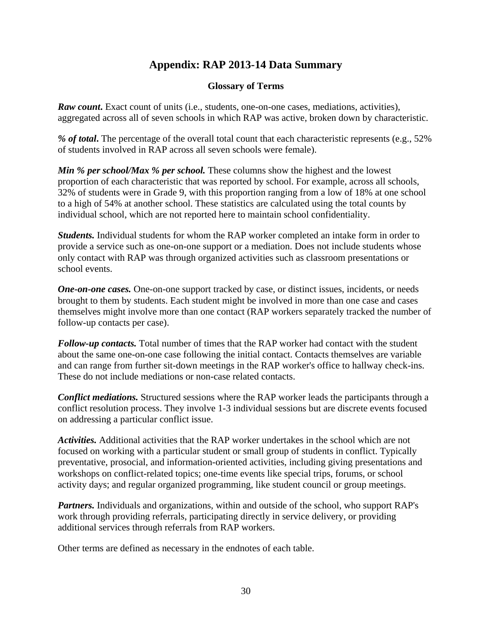# **Appendix: RAP 2013-14 Data Summary**

### **Glossary of Terms**

*Raw count***.** Exact count of units (i.e., students, one-on-one cases, mediations, activities), aggregated across all of seven schools in which RAP was active, broken down by characteristic.

*% of total***.** The percentage of the overall total count that each characteristic represents (e.g., 52% of students involved in RAP across all seven schools were female).

*Min % per school/Max % per school.* These columns show the highest and the lowest proportion of each characteristic that was reported by school. For example, across all schools, 32% of students were in Grade 9, with this proportion ranging from a low of 18% at one school to a high of 54% at another school. These statistics are calculated using the total counts by individual school, which are not reported here to maintain school confidentiality.

*Students.* Individual students for whom the RAP worker completed an intake form in order to provide a service such as one-on-one support or a mediation. Does not include students whose only contact with RAP was through organized activities such as classroom presentations or school events.

*One-on-one cases.* One-on-one support tracked by case, or distinct issues, incidents, or needs brought to them by students. Each student might be involved in more than one case and cases themselves might involve more than one contact (RAP workers separately tracked the number of follow-up contacts per case).

*Follow-up contacts.* Total number of times that the RAP worker had contact with the student about the same one-on-one case following the initial contact. Contacts themselves are variable and can range from further sit-down meetings in the RAP worker's office to hallway check-ins. These do not include mediations or non-case related contacts.

*Conflict mediations.* Structured sessions where the RAP worker leads the participants through a conflict resolution process. They involve 1-3 individual sessions but are discrete events focused on addressing a particular conflict issue.

*Activities.* Additional activities that the RAP worker undertakes in the school which are not focused on working with a particular student or small group of students in conflict. Typically preventative, prosocial, and information-oriented activities, including giving presentations and workshops on conflict-related topics; one-time events like special trips, forums, or school activity days; and regular organized programming, like student council or group meetings.

*Partners.* Individuals and organizations, within and outside of the school, who support RAP's work through providing referrals, participating directly in service delivery, or providing additional services through referrals from RAP workers.

Other terms are defined as necessary in the endnotes of each table.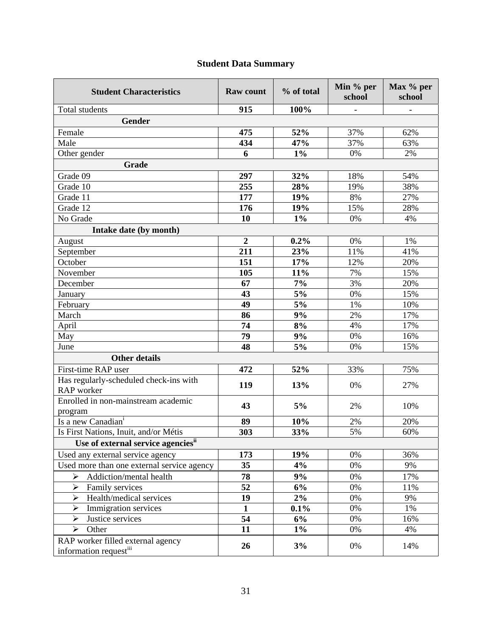# **Student Data Summary**

| <b>Student Characteristics</b>                              | <b>Raw count</b> | % of total | Min % per<br>school | Max % per<br>school |
|-------------------------------------------------------------|------------------|------------|---------------------|---------------------|
| <b>Total students</b>                                       | 915              | 100%       |                     |                     |
| Gender                                                      |                  |            |                     |                     |
| Female                                                      | 475              | 52%        | 37%                 | 62%                 |
| Male                                                        | 434              | 47%        | 37%                 | 63%                 |
| Other gender                                                | 6                | $1\%$      | 0%                  | 2%                  |
| Grade                                                       |                  |            |                     |                     |
| Grade 09                                                    | 297              | 32%        | 18%                 | 54%                 |
| Grade 10                                                    | 255              | 28%        | 19%                 | 38%                 |
| Grade 11                                                    | 177              | 19%        | 8%                  | 27%                 |
| Grade 12                                                    | 176              | 19%        | 15%                 | 28%                 |
| No Grade                                                    | 10               | $1\%$      | 0%                  | 4%                  |
| Intake date (by month)                                      |                  |            |                     |                     |
| August                                                      | $\overline{2}$   | 0.2%       | 0%                  | 1%                  |
| September                                                   | 211              | 23%        | 11%                 | 41%                 |
| October                                                     | 151              | 17%        | 12%                 | 20%                 |
| November                                                    | 105              | 11%        | 7%                  | 15%                 |
| December                                                    | 67               | 7%         | 3%                  | 20%                 |
| January                                                     | 43               | 5%         | 0%                  | 15%                 |
| February                                                    | 49               | 5%         | 1%                  | 10%                 |
| March                                                       | 86               | 9%         | 2%                  | 17%                 |
| April                                                       | 74               | 8%         | 4%                  | 17%                 |
| May                                                         | 79               | 9%         | 0%                  | 16%                 |
| June                                                        | 48               | 5%         | 0%                  | 15%                 |
| <b>Other details</b>                                        |                  |            |                     |                     |
| First-time RAP user                                         | 472              | 52%        | 33%                 | 75%                 |
| Has regularly-scheduled check-ins with<br>RAP worker        | 119              | 13%        | 0%                  | 27%                 |
| Enrolled in non-mainstream academic<br>program              | 43               | 5%         | 2%                  | 10%                 |
| Is a new Canadian <sup>i</sup>                              | 89               | 10%        | 2%                  | 20%                 |
| Is First Nations, Inuit, and/or Métis                       | 303              | 33%        | 5%                  | 60%                 |
| Use of external service agencies <sup>ii</sup>              |                  |            |                     |                     |
| Used any external service agency                            | 173              | 19%        | 0%                  | 36%                 |
| Used more than one external service agency                  | 35               | 4%         | 0%                  | 9%                  |
| Addiction/mental health<br>⋗                                | 78               | 9%         | 0%                  | 17%                 |
| ➤<br>Family services                                        | 52               | 6%         | 0%                  | 11%                 |
| Health/medical services<br>➤                                | 19               | 2%         | 0%                  | 9%                  |
| Immigration services<br>➤                                   | $\mathbf{1}$     | $0.1\%$    | 0%                  | 1%                  |
| ➤<br>Justice services                                       | 54               | 6%         | 0%                  | 16%                 |
| $\blacktriangleright$<br>Other                              | 11               | $1\%$      | 0%                  | 4%                  |
| RAP worker filled external agency<br>information requestiii | 26               | 3%         | 0%                  | 14%                 |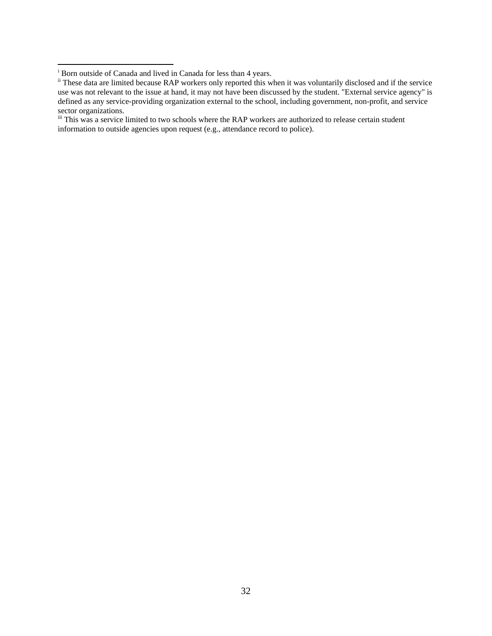iii This was a service limited to two schools where the RAP workers are authorized to release certain student information to outside agencies upon request (e.g., attendance record to police).

<sup>&</sup>lt;sup>i</sup> Born outside of Canada and lived in Canada for less than 4 years.

<sup>&</sup>lt;sup>ii</sup> These data are limited because RAP workers only reported this when it was voluntarily disclosed and if the service use was not relevant to the issue at hand, it may not have been discussed by the student. "External service agency" is defined as any service-providing organization external to the school, including government, non-profit, and service sector organizations.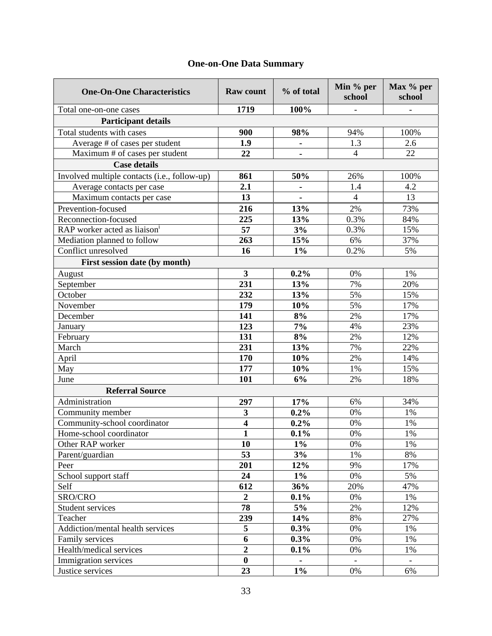# **One-on-One Data Summary**

| <b>One-On-One Characteristics</b>            | Raw count               | % of total     | Min % per<br>school | Max % per<br>school |
|----------------------------------------------|-------------------------|----------------|---------------------|---------------------|
| Total one-on-one cases                       | 1719                    | 100%           |                     |                     |
| <b>Participant details</b>                   |                         |                |                     |                     |
| Total students with cases                    | 900                     | 98%            | 94%                 | 100%                |
| Average # of cases per student               | 1.9                     | $\blacksquare$ | 1.3                 | 2.6                 |
| Maximum # of cases per student               | 22                      | -              | $\overline{4}$      | 22                  |
| <b>Case details</b>                          |                         |                |                     |                     |
| Involved multiple contacts (i.e., follow-up) | 861                     | 50%            | 26%                 | 100%                |
| Average contacts per case                    | 2.1                     | $\blacksquare$ | 1.4                 | 4.2                 |
| Maximum contacts per case                    | 13                      |                | $\overline{4}$      | 13                  |
| Prevention-focused                           | 216                     | 13%            | 2%                  | 73%                 |
| Reconnection-focused                         | 225                     | 13%            | 0.3%                | 84%                 |
| RAP worker acted as liaison <sup>i</sup>     | 57                      | 3%             | 0.3%                | 15%                 |
| Mediation planned to follow                  | 263                     | 15%            | 6%                  | 37%                 |
| Conflict unresolved                          | 16                      | $1\%$          | 0.2%                | 5%                  |
| First session date (by month)                |                         |                |                     |                     |
| August                                       | $\mathbf{3}$            | 0.2%           | 0%                  | 1%                  |
| September                                    | 231                     | 13%            | 7%                  | 20%                 |
| October                                      | 232                     | 13%            | 5%                  | 15%                 |
| November                                     | 179                     | 10%            | 5%                  | 17%                 |
| December                                     | 141                     | 8%             | 2%                  | 17%                 |
| January                                      | 123                     | 7%             | 4%                  | 23%                 |
| February                                     | 131                     | 8%             | 2%                  | 12%                 |
| March                                        | 231                     | 13%            | 7%                  | 22%                 |
| April                                        | 170                     | 10%            | 2%                  | 14%                 |
| May                                          | 177                     | 10%            | 1%                  | 15%                 |
| June                                         | 101                     | 6%             | 2%                  | 18%                 |
| <b>Referral Source</b>                       |                         |                |                     |                     |
| Administration                               | 297                     | 17%            | 6%                  | 34%                 |
| Community member                             | $\overline{\mathbf{3}}$ | 0.2%           | 0%                  | 1%                  |
| Community-school coordinator                 | $\overline{\mathbf{4}}$ | 0.2%           | 0%                  | 1%                  |
| Home-school coordinator                      | $\mathbf{1}$            | 0.1%           | 0%                  | 1%                  |
| Other RAP worker                             | 10                      | $1\%$          | 0%                  | 1%                  |
| Parent/guardian                              | 53                      | 3%             | 1%                  | 8%                  |
| Peer                                         | 201                     | 12%            | 9%                  | 17%                 |
| School support staff                         | 24                      | $1\%$          | 0%                  | 5%                  |
| Self                                         | 612                     | 36%            | 20%                 | 47%                 |
| SRO/CRO                                      | $\overline{2}$          | 0.1%           | 0%                  | 1%                  |
| <b>Student services</b>                      | 78                      | 5%             | 2%                  | 12%                 |
| Teacher                                      | 239                     | 14%            | 8%                  | 27%                 |
| Addiction/mental health services             | $\overline{\mathbf{5}}$ | 0.3%           | 0%                  | 1%                  |
| Family services                              | 6                       | 0.3%           | 0%                  | 1%                  |
| Health/medical services                      | $\overline{2}$          | 0.1%           | 0%                  | 1%                  |
| Immigration services                         | $\bf{0}$                |                |                     |                     |
| Justice services                             | 23                      | $1\%$          | 0%                  | 6%                  |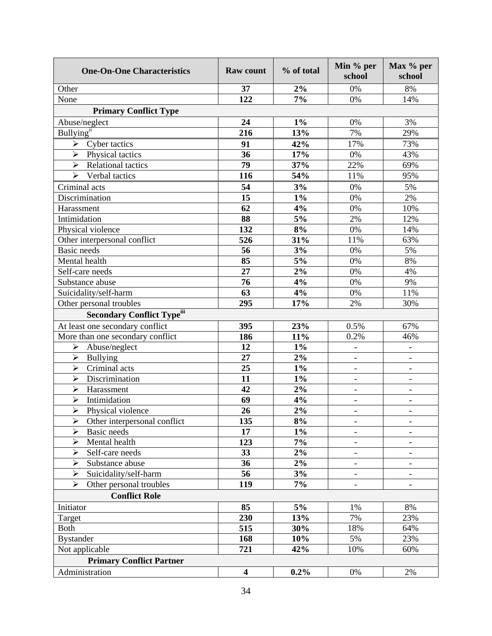| <b>One-On-One Characteristics</b>          | Raw count               | % of total | Min % per<br>school          | Max % per<br>school      |
|--------------------------------------------|-------------------------|------------|------------------------------|--------------------------|
| Other                                      | 37                      | 2%         | 0%                           | 8%                       |
| None                                       | 122                     | 7%         | 0%                           | 14%                      |
| <b>Primary Conflict Type</b>               |                         |            |                              |                          |
| Abuse/neglect                              | 24                      | $1\%$      | 0%                           | 3%                       |
| Bullying <sup>ii</sup>                     | 216                     | 13%        | 7%                           | 29%                      |
| $\triangleright$ Cyber tactics             | 91                      | 42%        | 17%                          | 73%                      |
| $\triangleright$ Physical tactics          | 36                      | 17%        | 0%                           | 43%                      |
| $\triangleright$ Relational tactics        | 79                      | 37%        | 22%                          | 69%                      |
| $\triangleright$ Verbal tactics            | 116                     | 54%        | 11%                          | 95%                      |
| Criminal acts                              | 54                      | 3%         | 0%                           | 5%                       |
| Discrimination                             | 15                      | $1\%$      | $0\%$                        | 2%                       |
| Harassment                                 | 62                      | 4%         | 0%                           | 10%                      |
| Intimidation                               | 88                      | 5%         | 2%                           | 12%                      |
| Physical violence                          | 132                     | $8\%$      | 0%                           | 14%                      |
| Other interpersonal conflict               | 526                     | 31%        | 11%                          | 63%                      |
| <b>Basic</b> needs                         | 56                      | 3%         | 0%                           | 5%                       |
| Mental health                              | 85                      | 5%         | 0%                           | 8%                       |
| Self-care needs                            | 27                      | $2\%$      | 0%                           | 4%                       |
| Substance abuse                            | 76                      | 4%         | 0%                           | 9%                       |
| Suicidality/self-harm                      | 63                      | 4%         | 0%                           | 11%                      |
| Other personal troubles                    | 295                     | 17%        | 2%                           | 30%                      |
| <b>Secondary Conflict Typeiii</b>          |                         |            |                              |                          |
| At least one secondary conflict            | 395                     | 23%        | 0.5%                         | 67%                      |
| More than one secondary conflict           | 186                     | 11%        | 0.2%                         | 46%                      |
| ➤<br>Abuse/neglect                         | 12                      | $1\%$      | $\overline{\phantom{a}}$     | $\overline{\phantom{a}}$ |
| $\blacktriangleright$<br><b>Bullying</b>   | 27                      | $2\%$      | $\blacksquare$               | $\overline{\phantom{0}}$ |
| Criminal acts<br>➤                         | 25                      | $1\%$      | $\overline{\phantom{a}}$     | $\overline{\phantom{a}}$ |
| Discrimination<br>➤                        | 11                      | $1\%$      |                              | $\overline{\phantom{0}}$ |
| $\blacktriangleright$<br>Harassment        | 42                      | $2\%$      |                              |                          |
| $\blacktriangleright$<br>Intimidation      | 69                      | 4%         | $\overline{\phantom{a}}$     | $\overline{\phantom{0}}$ |
| $\blacktriangleright$<br>Physical violence | 26                      | 2%         | $\overline{\phantom{a}}$     | $\overline{\phantom{0}}$ |
| Other interpersonal conflict<br>➤          | 135                     | 8%         | $\overline{\phantom{a}}$     | $\overline{\phantom{a}}$ |
| ➤<br>Basic needs                           | 17                      | $1\%$      | $\overline{\phantom{a}}$     |                          |
| $\blacktriangleright$<br>Mental health     | 123                     | 7%         |                              |                          |
| Self-care needs<br>$\blacktriangleright$   | 33                      | 2%         | $\overline{\phantom{a}}$     | $\overline{\phantom{0}}$ |
| $\blacktriangleright$<br>Substance abuse   | 36                      | 2%         |                              |                          |
| Suicidality/self-harm<br>➤                 | 56                      | 3%         | $\qquad \qquad \blacksquare$ | -                        |
| Other personal troubles<br>➤               | 119                     | 7%         | $\overline{\phantom{a}}$     | $\overline{\phantom{0}}$ |
| <b>Conflict Role</b>                       |                         |            |                              |                          |
| Initiator                                  | 85                      | 5%         | 1%                           | 8%                       |
| Target                                     | 230                     | 13%        | 7%                           | 23%                      |
| <b>Both</b>                                | 515                     | 30%        | 18%                          | 64%                      |
| <b>Bystander</b>                           | 168                     | 10%        | 5%                           | 23%                      |
| Not applicable                             | $\overline{721}$        | 42%        | 10%                          | 60%                      |
| <b>Primary Conflict Partner</b>            |                         |            |                              |                          |
| Administration                             | $\overline{\mathbf{4}}$ | $0.2\%$    | 0%                           | 2%                       |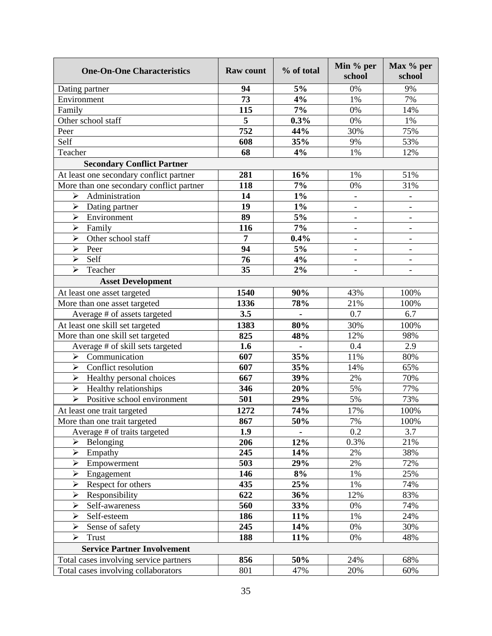| <b>One-On-One Characteristics</b>                    | <b>Raw count</b> | % of total | Min % per<br>school      | Max % per<br>school      |
|------------------------------------------------------|------------------|------------|--------------------------|--------------------------|
| Dating partner                                       | 94               | 5%         | 0%                       | 9%                       |
| Environment                                          | 73               | 4%         | 1%                       | 7%                       |
| Family                                               | 115              | 7%         | 0%                       | 14%                      |
| Other school staff                                   | 5                | 0.3%       | 0%                       | 1%                       |
| Peer                                                 | 752              | 44%        | 30%                      | 75%                      |
| Self                                                 | 608              | 35%        | 9%                       | 53%                      |
| Teacher                                              | 68               | 4%         | 1%                       | 12%                      |
| <b>Secondary Conflict Partner</b>                    |                  |            |                          |                          |
| At least one secondary conflict partner              | 281              | 16%        | 1%                       | 51%                      |
| More than one secondary conflict partner             | 118              | 7%         | 0%                       | 31%                      |
| Administration<br>➤                                  | 14               | $1\%$      | $\blacksquare$           | $\overline{\phantom{0}}$ |
| ➤<br>Dating partner                                  | 19               | $1\%$      |                          |                          |
| Environment<br>$\blacktriangleright$                 | 89               | 5%         | $\overline{\phantom{a}}$ | $\overline{\phantom{0}}$ |
| $\blacktriangleright$<br>Family                      | 116              | 7%         |                          |                          |
| Other school staff<br>➤                              | 7                | $0.4\%$    | $\overline{\phantom{a}}$ | $\overline{\phantom{a}}$ |
| $\blacktriangleright$<br>Peer                        | 94               | 5%         | $\overline{\phantom{a}}$ | $\overline{\phantom{0}}$ |
| Self<br>➤                                            | 76               | 4%         | $\overline{\phantom{a}}$ | $\overline{\phantom{0}}$ |
| $\blacktriangleright$<br>Teacher                     | 35               | 2%         |                          | $\overline{\phantom{0}}$ |
| <b>Asset Development</b>                             |                  |            |                          |                          |
| At least one asset targeted                          | 1540             | 90%        | 43%                      | 100%                     |
| More than one asset targeted                         | 1336             | 78%        | 21%                      | 100%                     |
| Average # of assets targeted                         | 3.5              |            | 0.7                      | 6.7                      |
| At least one skill set targeted                      | 1383             | 80%        | 30%                      | 100%                     |
| More than one skill set targeted                     | 825              | 48%        | 12%                      | 98%                      |
| Average # of skill sets targeted                     | 1.6              |            | 0.4                      | 2.9                      |
| Communication<br>$\blacktriangleright$               | 607              | 35%        | 11%                      | 80%                      |
| Conflict resolution<br>$\blacktriangleright$         | 607              | 35%        | 14%                      | 65%                      |
| Healthy personal choices<br>➤                        | 667              | 39%        | 2%                       | 70%                      |
| Healthy relationships<br>➤                           | 346              | 20%        | 5%                       | 77%                      |
| $\blacktriangleright$<br>Positive school environment | 501              | 29%        | 5%                       | 73%                      |
| At least one trait targeted                          | 1272             | 74%        | 17%                      | 100%                     |
| More than one trait targeted                         | 867              | 50%        | 7%                       | 100%                     |
| Average # of traits targeted                         | 1.9              |            | 0.2                      | 3.7                      |
| $\blacktriangleright$<br>Belonging                   | 206              | 12%        | 0.3%                     | 21%                      |
| $\blacktriangleright$<br>Empathy                     | 245              | 14%        | 2%                       | 38%                      |
| $\blacktriangleright$<br>Empowerment                 | 503              | 29%        | 2%                       | 72%                      |
| Engagement<br>➤                                      | 146              | 8%         | 1%                       | 25%                      |
| Respect for others<br>$\blacktriangleright$          | 435              | 25%        | 1%                       | 74%                      |
| $\blacktriangleright$<br>Responsibility              | 622              | 36%        | 12%                      | 83%                      |
| ➤<br>Self-awareness                                  | 560              | 33%        | 0%                       | 74%                      |
| Self-esteem<br>➤                                     | 186              | 11%        | 1%                       | 24%                      |
| Sense of safety<br>$\blacktriangleright$             | 245              | 14%        | 0%                       | 30%                      |
| ➤<br><b>Trust</b>                                    | 188              | 11%        | 0%                       | 48%                      |
| <b>Service Partner Involvement</b>                   |                  |            |                          |                          |
| Total cases involving service partners               | 856              | 50%        | 24%                      | 68%                      |
| Total cases involving collaborators                  | 801              | 47%        | 20%                      | 60%                      |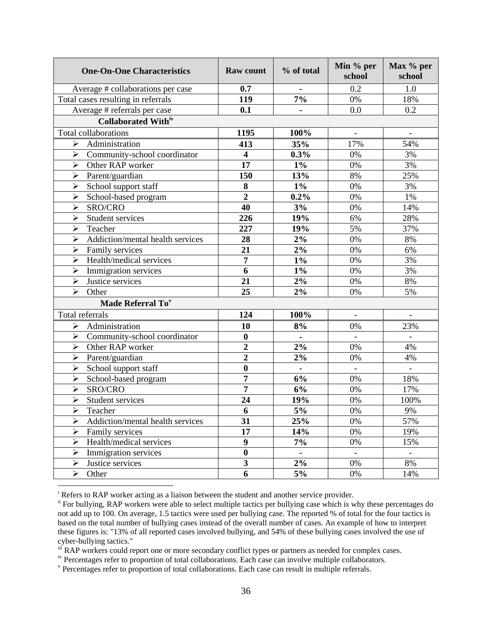| <b>One-On-One Characteristics</b>                | <b>Raw count</b>        | % of total     | Min % per<br>school      | Max % per<br>school |
|--------------------------------------------------|-------------------------|----------------|--------------------------|---------------------|
| Average # collaborations per case                | 0.7                     | $\blacksquare$ | 0.2                      | 1.0                 |
| Total cases resulting in referrals               | 119                     | 7%             | 0%                       | 18%                 |
| Average # referrals per case                     | 0.1                     |                | 0.0                      | 0.2                 |
| <b>Collaborated Withiv</b>                       |                         |                |                          |                     |
| Total collaborations                             | 1195                    | 100%           |                          |                     |
| Administration<br>➤                              | 413                     | 35%            | 17%                      | 54%                 |
| Community-school coordinator<br>≻                | $\overline{\mathbf{4}}$ | 0.3%           | 0%                       | 3%                  |
| Other RAP worker<br>➤                            | 17                      | $1\%$          | 0%                       | 3%                  |
| Parent/guardian<br>$\blacktriangleright$         | 150                     | 13%            | 8%                       | 25%                 |
| School support staff<br>➤                        | 8                       | $1\%$          | 0%                       | 3%                  |
| School-based program<br>$\blacktriangleright$    | $\overline{2}$          | 0.2%           | 0%                       | 1%                  |
| $\blacktriangleright$<br>SRO/CRO                 | 40                      | 3%             | 0%                       | 14%                 |
| Student services<br>➤                            | 226                     | 19%            | 6%                       | 28%                 |
| Teacher<br>➤                                     | 227                     | 19%            | 5%                       | 37%                 |
| Addiction/mental health services<br>➤            | 28                      | $2\%$          | 0%                       | 8%                  |
| $\blacktriangleright$<br>Family services         | 21                      | $2\%$          | 0%                       | 6%                  |
| Health/medical services<br>$\blacktriangleright$ | $\overline{7}$          | $1\%$          | 0%                       | 3%                  |
| Immigration services<br>➤                        | 6                       | $1\%$          | 0%                       | 3%                  |
| Justice services<br>➤                            | $\overline{21}$         | 2%             | 0%                       | 8%                  |
| $\blacktriangleright$<br>Other                   | 25                      | 2%             | 0%                       | 5%                  |
| Made Referral To <sup>v</sup>                    |                         |                |                          |                     |
| Total referrals                                  | 124                     | 100%           | $\blacksquare$           | $\overline{a}$      |
| Administration<br>⋗                              | 10                      | 8%             | 0%                       | 23%                 |
| Community-school coordinator<br>➤                | $\bf{0}$                | $\blacksquare$ | $\blacksquare$           | $\overline{a}$      |
| $\blacktriangleright$<br>Other RAP worker        | $\overline{2}$          | $2\%$          | 0%                       | 4%                  |
| Parent/guardian<br>➤                             | $\overline{2}$          | $2\%$          | 0%                       | 4%                  |
| School support staff<br>➤                        | $\bf{0}$                | ä,             | $\equiv$                 | $\equiv$            |
| School-based program<br>➤                        | 7                       | 6%             | 0%                       | 18%                 |
| $\blacktriangleright$<br>SRO/CRO                 | $\overline{7}$          | 6%             | 0%                       | 17%                 |
| $\blacktriangleright$<br>Student services        | 24                      | 19%            | 0%                       | 100%                |
| ➤<br>Teacher                                     | 6                       | 5%             | 0%                       | 9%                  |
| Addiction/mental health services<br>➤            | 31                      | 25%            | $0\%$                    | 57%                 |
| $\blacktriangleright$<br>Family services         | 17                      | 14%            | 0%                       | 19%                 |
| $\blacktriangleright$<br>Health/medical services | $\boldsymbol{9}$        | 7%             | 0%                       | 15%                 |
| $\blacktriangleright$<br>Immigration services    | $\bf{0}$                |                | $\overline{\phantom{a}}$ |                     |
| Justice services<br>$\blacktriangleright$        | $\overline{\mathbf{3}}$ | 2%             | 0%                       | 8%                  |
| Other<br>➤                                       | 6                       | 5%             | 0%                       | 14%                 |

i

iii RAP workers could report one or more secondary conflict types or partners as needed for complex cases.

iv Percentages refer to proportion of total collaborations. Each case can involve multiple collaborators.

v Percentages refer to proportion of total collaborations. Each case can result in multiple referrals.

 $\ddot{H}$  For bullying, RAP workers were able to select multiple tactics per bullying case which is why these percentages do not add up to 100. On average, 1.5 tactics were used per bullying case. The reported % of total for the four tactics is based on the total number of bullying cases instead of the overall number of cases. An example of how to interpret these figures is: "13% of all reported cases involved bullying, and 54% of these bullying cases involved the use of cyber-bullying tactics."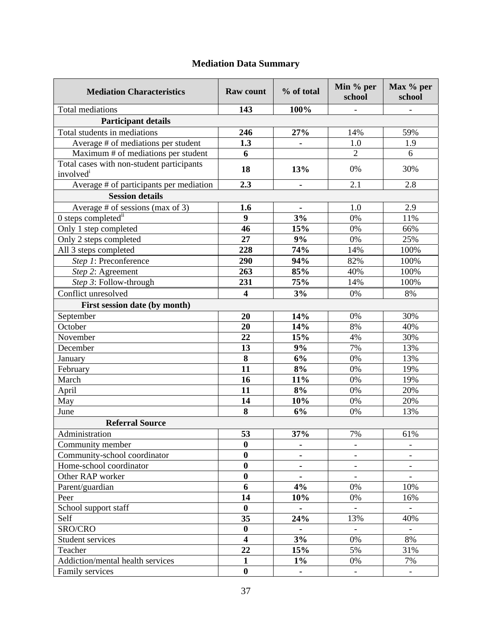# **Mediation Data Summary**

| <b>Mediation Characteristics</b>                                   | <b>Raw count</b>        | % of total               | Min % per<br>school      | Max % per<br>school      |
|--------------------------------------------------------------------|-------------------------|--------------------------|--------------------------|--------------------------|
| <b>Total mediations</b>                                            | 143                     | 100%                     |                          |                          |
| <b>Participant details</b>                                         |                         |                          |                          |                          |
| Total students in mediations                                       | 246                     | 27%                      | 14%                      | 59%                      |
| Average # of mediations per student                                | 1.3                     |                          | 1.0                      | 1.9                      |
| Maximum # of mediations per student                                | 6                       |                          | $\overline{2}$           | 6                        |
| Total cases with non-student participants<br>involved <sup>i</sup> | 18                      | 13%                      | 0%                       | 30%                      |
| Average # of participants per mediation                            | 2.3                     | $\overline{\phantom{0}}$ | 2.1                      | 2.8                      |
| <b>Session details</b>                                             |                         |                          |                          |                          |
| Average # of sessions (max of 3)                                   | 1.6                     |                          | 1.0                      | 2.9                      |
| 0 steps completedii                                                | $\boldsymbol{9}$        | 3%                       | 0%                       | 11%                      |
| Only 1 step completed                                              | 46                      | 15%                      | 0%                       | 66%                      |
| Only 2 steps completed                                             | 27                      | 9%                       | 0%                       | 25%                      |
| All 3 steps completed                                              | 228                     | 74%                      | 14%                      | 100%                     |
| Step 1: Preconference                                              | 290                     | 94%                      | 82%                      | 100%                     |
| Step 2: Agreement                                                  | 263                     | 85%                      | 40%                      | 100%                     |
| Step 3: Follow-through                                             | 231                     | 75%                      | 14%                      | 100%                     |
| Conflict unresolved                                                | $\overline{\mathbf{4}}$ | 3%                       | 0%                       | 8%                       |
| First session date (by month)                                      |                         |                          |                          |                          |
| September                                                          | 20                      | 14%                      | 0%                       | 30%                      |
| October                                                            | 20                      | 14%                      | 8%                       | 40%                      |
| November                                                           | 22                      | 15%                      | 4%                       | 30%                      |
| December                                                           | 13                      | 9%                       | 7%                       | 13%                      |
| January                                                            | 8                       | 6%                       | 0%                       | 13%                      |
| February                                                           | 11                      | 8%                       | 0%                       | 19%                      |
| March                                                              | 16                      | 11%                      | 0%                       | 19%                      |
| April                                                              | 11                      | 8%                       | 0%                       | 20%                      |
| May                                                                | 14                      | 10%                      | 0%                       | 20%                      |
| June                                                               | 8                       | 6%                       | 0%                       | 13%                      |
| <b>Referral Source</b>                                             |                         |                          |                          |                          |
| Administration                                                     | 53                      | 37%                      | 7%                       | 61%                      |
| Community member                                                   | $\boldsymbol{0}$        | -                        | $\overline{\phantom{0}}$ | $\overline{\phantom{0}}$ |
| Community-school coordinator                                       | $\boldsymbol{0}$        |                          | -                        | $\overline{\phantom{a}}$ |
| Home-school coordinator                                            | $\bf{0}$                | ۰                        | $\overline{\phantom{0}}$ | $\overline{\phantom{a}}$ |
| Other RAP worker                                                   | $\bf{0}$                |                          | $\frac{1}{2}$            |                          |
| Parent/guardian                                                    | 6                       | 4%                       | $0\%$                    | 10%                      |
| Peer                                                               | 14                      | 10%                      | 0%                       | 16%                      |
| School support staff                                               | $\boldsymbol{0}$        | $\blacksquare$           | $\overline{\phantom{0}}$ | $\overline{\phantom{0}}$ |
| Self                                                               | 35                      | 24%                      | 13%                      | 40%                      |
| SRO/CRO                                                            | $\boldsymbol{0}$        | $\blacksquare$           | $\blacksquare$           | $\Box$                   |
| Student services                                                   | $\overline{\mathbf{4}}$ | 3%                       | 0%                       | 8%                       |
| Teacher                                                            | 22                      | 15%                      | 5%                       | 31%                      |
| Addiction/mental health services                                   | $\mathbf{1}$            | $1\%$                    | 0%                       | 7%                       |
| Family services                                                    | $\bf{0}$                | $\blacksquare$           | $\overline{\phantom{a}}$ | $\overline{\phantom{a}}$ |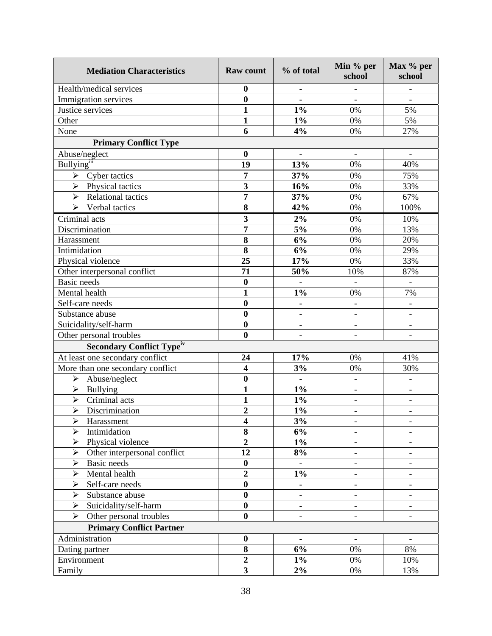| <b>Mediation Characteristics</b>                      | <b>Raw count</b>        | % of total     | Min % per<br>school      | Max % per<br>school      |
|-------------------------------------------------------|-------------------------|----------------|--------------------------|--------------------------|
| Health/medical services                               | $\boldsymbol{0}$        | ۰              | $\overline{\phantom{a}}$ | $\overline{\phantom{0}}$ |
| Immigration services                                  | $\bf{0}$                |                |                          |                          |
| Justice services                                      | $\mathbf{1}$            | $1\%$          | 0%                       | 5%                       |
| Other                                                 | $\mathbf{1}$            | $1\%$          | 0%                       | 5%                       |
| None                                                  | 6                       | 4%             | 0%                       | 27%                      |
| <b>Primary Conflict Type</b>                          |                         |                |                          |                          |
| Abuse/neglect                                         | $\boldsymbol{0}$        | ۰              | $\overline{\phantom{a}}$ | $\overline{\phantom{a}}$ |
| <b>Bullying</b> iii                                   | 19                      | 13%            | 0%                       | 40%                      |
| Cyber tactics<br>➤                                    | 7                       | 37%            | 0%                       | 75%                      |
| $\blacktriangleright$<br>Physical tactics             | $\overline{\mathbf{3}}$ | 16%            | 0%                       | 33%                      |
| Relational tactics<br>$\blacktriangleright$           | 7                       | 37%            | 0%                       | 67%                      |
| $\triangleright$ Verbal tactics                       | $\overline{\mathbf{8}}$ | 42%            | 0%                       | 100%                     |
| Criminal acts                                         | 3                       | 2%             | 0%                       | 10%                      |
| Discrimination                                        | 7                       | 5%             | 0%                       | 13%                      |
| Harassment                                            | 8                       | 6%             | 0%                       | 20%                      |
| Intimidation                                          | 8                       | 6%             | 0%                       | 29%                      |
| Physical violence                                     | $\overline{25}$         | 17%            | 0%                       | 33%                      |
| Other interpersonal conflict                          | 71                      | 50%            | 10%                      | 87%                      |
| <b>Basic</b> needs                                    | $\bf{0}$                | $\blacksquare$ | $\blacksquare$           | $\equiv$                 |
| Mental health                                         | $\mathbf{1}$            | $1\%$          | 0%                       | 7%                       |
| Self-care needs                                       | $\bf{0}$                |                |                          | $\overline{\phantom{a}}$ |
| Substance abuse                                       | $\bf{0}$                | -              | $\overline{\phantom{a}}$ | $\blacksquare$           |
| Suicidality/self-harm                                 | $\bf{0}$                | $\blacksquare$ | $\overline{\phantom{a}}$ | $\overline{\phantom{0}}$ |
| Other personal troubles                               | $\bf{0}$                | ۰              |                          | $\overline{\phantom{0}}$ |
| <b>Secondary Conflict Typeiv</b>                      |                         |                |                          |                          |
| At least one secondary conflict                       | 24                      | 17%            | 0%                       | 41%                      |
| More than one secondary conflict                      | $\overline{\mathbf{4}}$ | 3%             | 0%                       | 30%                      |
| Abuse/neglect<br>➤                                    | $\boldsymbol{0}$        | $\blacksquare$ | $\overline{\phantom{a}}$ |                          |
| $\blacktriangleright$<br>Bullying                     | $\mathbf{1}$            | $1\%$          | $\blacksquare$           | $\blacksquare$           |
| $\blacktriangleright$<br>Criminal acts                | $\mathbf{1}$            | $1\%$          | $\overline{\phantom{a}}$ | $\overline{\phantom{0}}$ |
| Discrimination<br>$\blacktriangleright$               | $\overline{2}$          | $1\%$          | $\overline{\phantom{a}}$ | $\overline{\phantom{0}}$ |
| ➤<br>Harassment                                       | 4                       | 3%             | $\overline{\phantom{a}}$ | $\overline{\phantom{0}}$ |
| Intimidation<br>$\blacktriangleright$                 | 8                       | 6%             |                          |                          |
| $\blacktriangleright$<br>Physical violence            | $\overline{2}$          | $1\%$          |                          |                          |
| $\blacktriangleright$<br>Other interpersonal conflict | 12                      | 8%             |                          | $\overline{\phantom{0}}$ |
| <b>Basic</b> needs<br>$\blacktriangleright$           | $\boldsymbol{0}$        | ۰              | $\overline{\phantom{a}}$ | $\overline{\phantom{0}}$ |
| Mental health<br>➤                                    | $\overline{2}$          | $1\%$          | $\overline{\phantom{a}}$ | $\overline{\phantom{0}}$ |
| Self-care needs<br>➤                                  | $\bf{0}$                |                |                          |                          |
| Substance abuse<br>➤                                  | $\bf{0}$                |                |                          |                          |
| $\blacktriangleright$<br>Suicidality/self-harm        | $\boldsymbol{0}$        | -              |                          | $\overline{\phantom{0}}$ |
| $\blacktriangleright$<br>Other personal troubles      | $\bf{0}$                | ۰              | $\overline{\phantom{a}}$ | $\overline{\phantom{0}}$ |
| <b>Primary Conflict Partner</b>                       |                         |                |                          |                          |
| Administration                                        | $\boldsymbol{0}$        |                |                          |                          |
| Dating partner                                        | $\overline{\mathbf{8}}$ | 6%             | 0%                       | 8%                       |
| Environment                                           | $\overline{2}$          | $1\%$          | 0%                       | 10%                      |
| Family                                                | $\overline{\mathbf{3}}$ | 2%             | 0%                       | 13%                      |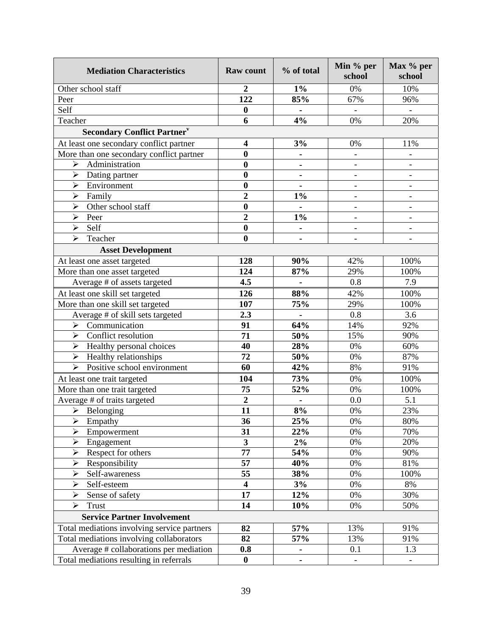| <b>Mediation Characteristics</b>               | <b>Raw count</b>        | % of total     | Min % per<br>school      | Max % per<br>school      |
|------------------------------------------------|-------------------------|----------------|--------------------------|--------------------------|
| Other school staff                             | $\overline{2}$          | $1\%$          | 0%                       | 10%                      |
| Peer                                           | 122                     | 85%            | 67%                      | 96%                      |
| Self                                           | $\boldsymbol{0}$        |                |                          |                          |
| Teacher                                        | 6                       | 4%             | 0%                       | 20%                      |
| <b>Secondary Conflict Partner</b> <sup>v</sup> |                         |                |                          |                          |
| At least one secondary conflict partner        | 4                       | 3%             | 0%                       | 11%                      |
| More than one secondary conflict partner       | $\bf{0}$                |                |                          |                          |
| Administration<br>$\blacktriangleright$        | $\bf{0}$                |                | $\frac{1}{2}$            | $\overline{\phantom{0}}$ |
| ➤<br>Dating partner                            | $\bf{0}$                | $\blacksquare$ | $\overline{\phantom{a}}$ | $\overline{\phantom{a}}$ |
| Environment<br>➤                               | $\bf{0}$                |                |                          | $\overline{\phantom{0}}$ |
| Family<br>$\blacktriangleright$                | $\overline{2}$          | $1\%$          |                          |                          |
| Other school staff<br>$\blacktriangleright$    | $\bf{0}$                |                |                          | $\overline{a}$           |
| $\blacktriangleright$<br>Peer                  | $\overline{2}$          | $1\%$          |                          |                          |
| $\blacktriangleright$<br>Self                  | $\bf{0}$                | $\blacksquare$ | $\overline{\phantom{a}}$ | $\overline{\phantom{0}}$ |
| Teacher<br>➤                                   | $\bf{0}$                |                |                          |                          |
| <b>Asset Development</b>                       |                         |                |                          |                          |
| At least one asset targeted                    | 128                     | 90%            | 42%                      | 100%                     |
| More than one asset targeted                   | 124                     | 87%            | 29%                      | 100%                     |
| Average # of assets targeted                   | $\overline{4.5}$        | $\blacksquare$ | 0.8                      | 7.9                      |
| At least one skill set targeted                | 126                     | 88%            | 42%                      | 100%                     |
| More than one skill set targeted               | 107                     | 75%            | 29%                      | 100%                     |
| Average # of skill sets targeted               | 2.3                     |                | 0.8                      | 3.6                      |
| $\triangleright$ Communication                 | 91                      | 64%            | 14%                      | 92%                      |
| Conflict resolution<br>$\blacktriangleright$   | 71                      | 50%            | 15%                      | 90%                      |
| ➤<br>Healthy personal choices                  | 40                      | 28%            | 0%                       | 60%                      |
| Healthy relationships<br>$\blacktriangleright$ | $\overline{72}$         | 50%            | 0%                       | 87%                      |
| Positive school environment<br>≻               | 60                      | 42%            | 8%                       | 91%                      |
| At least one trait targeted                    | 104                     | 73%            | 0%                       | 100%                     |
| More than one trait targeted                   | 75                      | 52%            | 0%                       | 100%                     |
| Average # of traits targeted                   | $\boldsymbol{2}$        |                | 0.0                      | 5.1                      |
| $\triangleright$ Belonging                     | $\overline{11}$         | 8%             | 0%                       | 23%                      |
| ➤<br>Empathy                                   | 36                      | 25%            | 0%                       | 80%                      |
| $\blacktriangleright$<br>Empowerment           | 31                      | 22%            | 0%                       | 70%                      |
| $\blacktriangleright$<br>Engagement            | $\overline{\mathbf{3}}$ | 2%             | 0%                       | 20%                      |
| $\blacktriangleright$<br>Respect for others    | 77                      | 54%            | 0%                       | 90%                      |
| Responsibility<br>$\blacktriangleright$        | $\overline{57}$         | 40%            | 0%                       | 81%                      |
| Self-awareness<br>$\blacktriangleright$        | 55                      | 38%            | 0%                       | 100%                     |
| Self-esteem<br>$\blacktriangleright$           | $\overline{\mathbf{4}}$ | 3%             | 0%                       | 8%                       |
| Sense of safety<br>➤                           | 17                      | 12%            | 0%                       | 30%                      |
| $\blacktriangleright$<br>Trust                 | 14                      | 10%            | 0%                       | 50%                      |
| <b>Service Partner Involvement</b>             |                         |                |                          |                          |
| Total mediations involving service partners    | 82                      | 57%            | 13%                      | 91%                      |
| Total mediations involving collaborators       | 82                      | 57%            | 13%                      | 91%                      |
| Average # collaborations per mediation         | 0.8                     | ۰              | 0.1                      | 1.3                      |
| Total mediations resulting in referrals        | $\bf{0}$                | ۰              | $\overline{\phantom{a}}$ | Ξ.                       |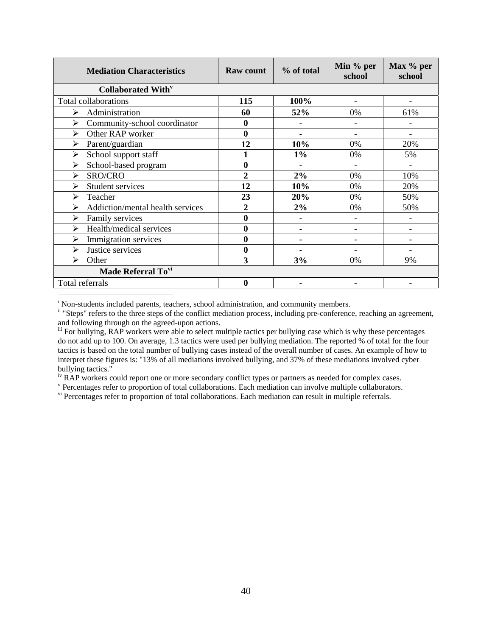| <b>Mediation Characteristics</b>          | <b>Raw count</b> | % of total | Min % per<br>school      | Max % per<br>school |
|-------------------------------------------|------------------|------------|--------------------------|---------------------|
| <b>Collaborated With</b> <sup>v</sup>     |                  |            |                          |                     |
| Total collaborations                      | 115              | 100%       | $\overline{\phantom{a}}$ |                     |
| Administration<br>⋗                       | 60               | 52%        | 0%                       | 61%                 |
| Community-school coordinator<br>↘         | 0                | ۰          |                          |                     |
| Other RAP worker<br>$\blacktriangleright$ | $\bf{0}$         |            |                          |                     |
| Parent/guardian<br>➤                      | 12               | 10%        | 0%                       | 20%                 |
| School support staff<br>↘                 |                  | $1\%$      | 0%                       | 5%                  |
| School-based program<br>↘                 | $\bf{0}$         |            |                          |                     |
| SRO/CRO<br>➤                              | $\overline{2}$   | 2%         | 0%                       | 10%                 |
| <b>Student services</b><br>↘              | 12               | 10%        | 0%                       | 20%                 |
| ↘<br>Teacher                              | 23               | 20%        | 0%                       | 50%                 |
| Addiction/mental health services<br>↘     | 2                | 2%         | 0%                       | 50%                 |
| Family services<br>↘                      | $\bf{0}$         | ٠          |                          |                     |
| Health/medical services<br>➤              | 0                | ۰          |                          |                     |
| Immigration services<br>↘                 | 0                |            |                          |                     |
| Justice services<br>↘                     | $\boldsymbol{0}$ |            | $\overline{\phantom{a}}$ |                     |
| ↘<br>Other                                | 3                | 3%         | 0%                       | 9%                  |
| Made Referral To <sup>vi</sup>            |                  |            |                          |                     |
| Total referrals                           | 0                |            |                          |                     |

<sup>i</sup> Non-students included parents, teachers, school administration, and community members.

 $\overline{a}$ 

<sup>ii</sup> "Steps" refers to the three steps of the conflict mediation process, including pre-conference, reaching an agreement, and following through on the agreed-upon actions.

<sup>v</sup> Percentages refer to proportion of total collaborations. Each mediation can involve multiple collaborators.

v<sup>i</sup> Percentages refer to proportion of total collaborations. Each mediation can result in multiple referrals.

iii For bullying, RAP workers were able to select multiple tactics per bullying case which is why these percentages do not add up to 100. On average, 1.3 tactics were used per bullying mediation. The reported % of total for the four tactics is based on the total number of bullying cases instead of the overall number of cases. An example of how to interpret these figures is: "13% of all mediations involved bullying, and 37% of these mediations involved cyber bullying tactics."

<sup>&</sup>lt;sup>iv</sup> RAP workers could report one or more secondary conflict types or partners as needed for complex cases.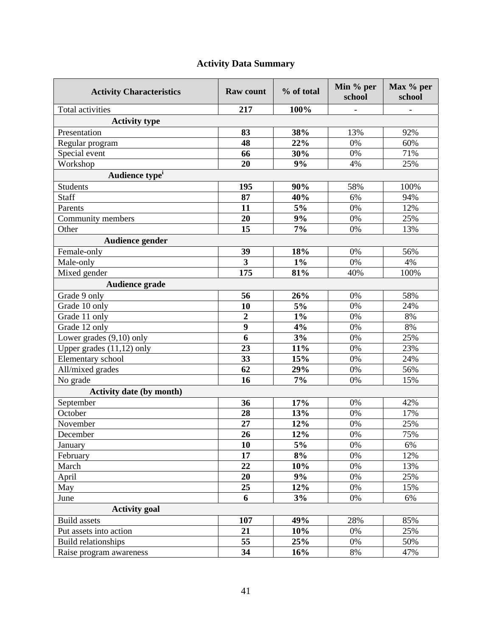# **Activity Data Summary**

| <b>Activity Characteristics</b> | <b>Raw count</b>        | % of total | Min % per<br>school | Max % per<br>school |  |  |
|---------------------------------|-------------------------|------------|---------------------|---------------------|--|--|
| <b>Total activities</b>         | 217                     | 100%       |                     |                     |  |  |
| <b>Activity type</b>            |                         |            |                     |                     |  |  |
| Presentation                    | 83                      | 38%        | 13%                 | 92%                 |  |  |
| Regular program                 | 48                      | 22%        | 0%                  | 60%                 |  |  |
| Special event                   | 66                      | 30%        | 0%                  | 71%                 |  |  |
| Workshop                        | 20                      | 9%         | 4%                  | 25%                 |  |  |
| Audience type <sup>i</sup>      |                         |            |                     |                     |  |  |
| <b>Students</b>                 | 195                     | 90%        | 58%                 | 100%                |  |  |
| <b>Staff</b>                    | 87                      | 40%        | 6%                  | 94%                 |  |  |
| Parents                         | 11                      | 5%         | 0%                  | 12%                 |  |  |
| Community members               | 20                      | 9%         | 0%                  | 25%                 |  |  |
| Other                           | 15                      | 7%         | 0%                  | 13%                 |  |  |
| Audience gender                 |                         |            |                     |                     |  |  |
| Female-only                     | 39                      | 18%        | 0%                  | 56%                 |  |  |
| Male-only                       | $\overline{\mathbf{3}}$ | $1\%$      | 0%                  | 4%                  |  |  |
| Mixed gender                    | 175                     | 81%        | 40%                 | 100%                |  |  |
| <b>Audience grade</b>           |                         |            |                     |                     |  |  |
| Grade 9 only                    | 56                      | 26%        | 0%                  | 58%                 |  |  |
| Grade 10 only                   | 10                      | 5%         | 0%                  | 24%                 |  |  |
| Grade 11 only                   | $\overline{2}$          | $1\%$      | 0%                  | 8%                  |  |  |
| Grade 12 only                   | 9                       | 4%         | 0%                  | 8%                  |  |  |
| Lower grades $(9,10)$ only      | 6                       | 3%         | 0%                  | 25%                 |  |  |
| Upper grades $(11,12)$ only     | 23                      | 11%        | 0%                  | 23%                 |  |  |
| Elementary school               | 33                      | 15%        | 0%                  | 24%                 |  |  |
| All/mixed grades                | 62                      | 29%        | 0%                  | 56%                 |  |  |
| No grade                        | 16                      | 7%         | 0%                  | 15%                 |  |  |
| <b>Activity date (by month)</b> |                         |            |                     |                     |  |  |
| September                       | 36                      | 17%        | 0%                  | 42%                 |  |  |
| October                         | 28                      | 13%        | 0%                  | 17%                 |  |  |
| November                        | 27                      | 12%        | 0%                  | 25%                 |  |  |
| December                        | 26                      | 12%        | 0%                  | 75%                 |  |  |
| January                         | 10                      | 5%         | 0%                  | 6%                  |  |  |
| February                        | 17                      | 8%         | 0%                  | 12%                 |  |  |
| March                           | 22                      | 10%        | 0%                  | 13%                 |  |  |
| April                           | 20                      | 9%         | 0%                  | 25%                 |  |  |
| May                             | 25                      | 12%        | 0%                  | 15%                 |  |  |
| June                            | 6                       | 3%         | 0%                  | 6%                  |  |  |
| <b>Activity</b> goal            |                         |            |                     |                     |  |  |
| <b>Build</b> assets             | 107                     | 49%        | 28%                 | 85%                 |  |  |
| Put assets into action          | 21                      | 10%        | 0%                  | 25%                 |  |  |
| <b>Build relationships</b>      | 55                      | 25%        | 0%                  | 50%                 |  |  |
| Raise program awareness         | 34                      | 16%        | 8%                  | 47%                 |  |  |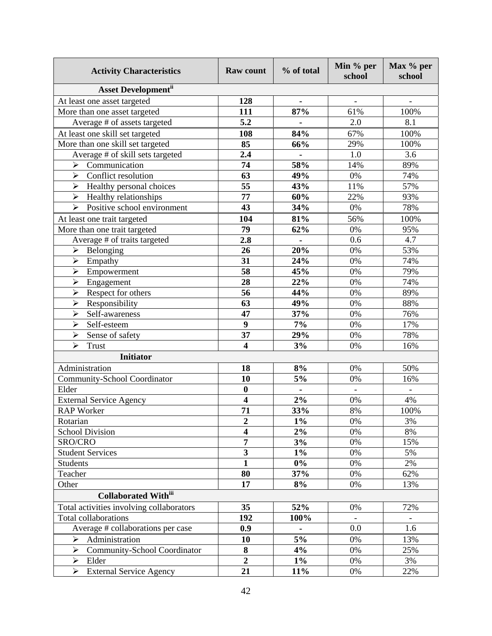| <b>Activity Characteristics</b>                                   | <b>Raw count</b>        | % of total     | Min % per<br>school      | Max % per<br>school      |  |
|-------------------------------------------------------------------|-------------------------|----------------|--------------------------|--------------------------|--|
| <b>Asset Development</b> ii                                       |                         |                |                          |                          |  |
| At least one asset targeted                                       | 128                     |                |                          |                          |  |
| More than one asset targeted                                      | 111                     | 87%            | 61%                      | 100%                     |  |
| Average # of assets targeted                                      | 5.2                     |                | 2.0                      | 8.1                      |  |
| At least one skill set targeted                                   | 108                     | 84%            | 67%                      | 100%                     |  |
| More than one skill set targeted                                  | 85                      | 66%            | 29%                      | 100%                     |  |
| Average # of skill sets targeted                                  | 2.4                     |                | 1.0                      | 3.6                      |  |
| Communication<br>$\blacktriangleright$                            | 74                      | 58%            | 14%                      | 89%                      |  |
| $\overline{\text{Conf}}$ lict resolution<br>$\blacktriangleright$ | 63                      | 49%            | 0%                       | 74%                      |  |
| $\blacktriangleright$<br>Healthy personal choices                 | 55                      | 43%            | 11%                      | 57%                      |  |
| <b>Healthy relationships</b><br>$\blacktriangleright$             | 77                      | 60%            | 22%                      | 93%                      |  |
| Positive school environment<br>$\blacktriangleright$              | 43                      | 34%            | 0%                       | 78%                      |  |
| At least one trait targeted                                       | 104                     | 81%            | 56%                      | 100%                     |  |
| More than one trait targeted                                      | 79                      | 62%            | 0%                       | 95%                      |  |
| Average # of traits targeted                                      | 2.8                     | ä,             | 0.6                      | 4.7                      |  |
| Belonging<br>$\blacktriangleright$                                | 26                      | 20%            | 0%                       | 53%                      |  |
| ➤<br>Empathy                                                      | 31                      | 24%            | 0%                       | 74%                      |  |
| Empowerment<br>➤                                                  | 58                      | 45%            | 0%                       | 79%                      |  |
| $\blacktriangleright$<br>Engagement                               | 28                      | 22%            | 0%                       | 74%                      |  |
| Respect for others<br>$\blacktriangleright$                       | 56                      | 44%            | 0%                       | 89%                      |  |
| Responsibility<br>$\blacktriangleright$                           | 63                      | 49%            | 0%                       | 88%                      |  |
| Self-awareness<br>➤                                               | 47                      | 37%            | 0%                       | 76%                      |  |
| Self-esteem<br>➤                                                  | 9                       | 7%             | 0%                       | 17%                      |  |
| $\blacktriangleright$<br>Sense of safety                          | $\overline{37}$         | 29%            | 0%                       | 78%                      |  |
| $\blacktriangleright$<br><b>Trust</b>                             | $\overline{\mathbf{4}}$ | 3%             | 0%                       | 16%                      |  |
| <b>Initiator</b>                                                  |                         |                |                          |                          |  |
| Administration                                                    | 18                      | 8%             | 0%                       | 50%                      |  |
| <b>Community-School Coordinator</b>                               | 10                      | 5%             | 0%                       | 16%                      |  |
| Elder                                                             | $\bf{0}$                |                | $\overline{\phantom{a}}$ |                          |  |
| <b>External Service Agency</b>                                    | $\overline{\mathbf{4}}$ | $2\%$          | 0%                       | 4%                       |  |
| <b>RAP Worker</b>                                                 | 71                      | 33%            | 8%                       | 100%                     |  |
| Rotarian                                                          | $\boldsymbol{2}$        | $1\%$          | 0%                       | 3%                       |  |
| <b>School Division</b>                                            | 4                       | $2\%$          | 0%                       | 8%                       |  |
| SRO/CRO                                                           | 7                       | 3%             | 0%                       | 15%                      |  |
| <b>Student Services</b>                                           | $\overline{\mathbf{3}}$ | $1\%$          | 0%                       | 5%                       |  |
| <b>Students</b>                                                   | $\mathbf{1}$            | $0\%$          | 0%                       | 2%                       |  |
| Teacher                                                           | 80                      | 37%            | $0\%$                    | 62%                      |  |
| Other                                                             | 17                      | 8%             | 0%                       | 13%                      |  |
| Collaborated With <sup>iii</sup>                                  |                         |                |                          |                          |  |
| Total activities involving collaborators                          | 35                      | 52%            | 0%                       | 72%                      |  |
| <b>Total collaborations</b>                                       | 192                     | 100%           | $\equiv$                 | $\overline{\phantom{0}}$ |  |
| Average # collaborations per case                                 | 0.9                     | $\blacksquare$ | 0.0                      | 1.6                      |  |
| $\blacktriangleright$<br>Administration                           | 10                      | 5%             | 0%                       | 13%                      |  |
| Community-School Coordinator<br>≻                                 | 8                       | 4%             | 0%                       | 25%                      |  |
| Elder<br>➤                                                        | $\overline{2}$          | $1\%$          | 0%                       | 3%                       |  |
| <b>External Service Agency</b><br>$\blacktriangleright$           | 21                      | 11%            | 0%                       | 22%                      |  |